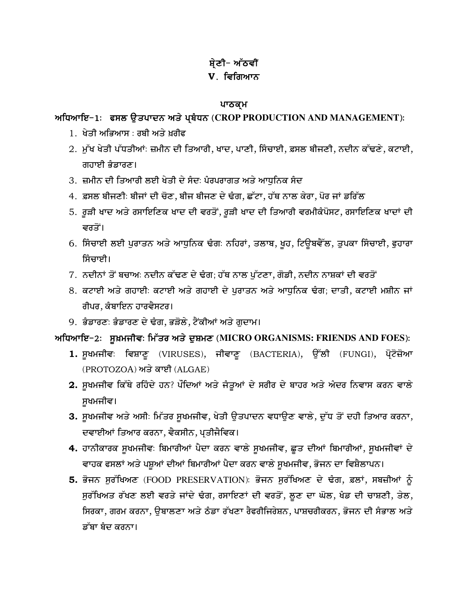# ਸ਼ੇਣੀ- ਅੱਠਵੀਂ V. ਵਿਗਿਆਨ

#### ਪਾਠਕ੍ਮ

# ਅਧਿਆਇ−1: ਫਸਲ ਉਤਪਾਦਨ ਅਤੇ ਪ੍ਬੰਧਨ (CROP PRODUCTION AND MANAGEMENT):

- 1. ਖੇਤੀ ਅਭਿਆਸ : ਰਬੀ ਅਤੇ ਖਰੀਫ਼
- 2. ਮੁੱਖ ਖੇਤੀ ਪੱਧਤੀਆਂ: ਜ਼ਮੀਨ ਦੀ ਤਿਆਰੀ, ਖਾਦ, ਪਾਣੀ, ਸਿੰਚਾਈ, ਫ਼ਸਲ ਬੀਜਣੀ, ਨਦੀਨ ਕੱਢਣੇ, ਕਟਾਈ, ਗਹਾਈ ਭੰਡਾਰਣ।
- 3. ਜ਼ਮੀਨ ਦੀ ਤਿਆਰੀ ਲਈ ਖੇਤੀ ਦੇ ਸੈਦៈ ਪੰਰਪਰਾਗਤ ਅਤੇ ਆਧਨਿਕ ਸੈਦ
- 4. ਫ਼ਸਲ ਬੀਜਣੀ: ਬੀਜਾਂ ਦੀ ਚੋਣ, ਬੀਜ ਬੀਜਣ ਦੇ ਢੰਗ, ਛੱਟਾ, ਹੱਥ ਨਾਲ ਕੇਰਾ, ਪੋਰ ਜਾਂ ਡਰਿੱਲ
- 5. ਰੁੜੀ ਖਾਦ ਅਤੇ ਰਸਾਇਣਿਕ ਖਾਦ ਦੀ ਵਰਤੋਂ, ਰੁੜੀ ਖਾਦ ਦੀ ਤਿਆਰੀ ਵਰਮੀਕੰਪੋਸਟ, ਰਸਾਇਣਿਕ ਖਾਦਾਂ ਦੀ ਵਰਤੋਂ।
- 6. ਸਿੰਚਾਈ ਲਈ ਪੁਰਾਤਨ ਅਤੇ ਆਧੁਨਿਕ ਢੰਗ: ਨਹਿਰਾਂ, ਤਲਾਬ, ਖੁਹ, ਟਿਊਬਵੈੱਲ, ਤੁਪਕਾ ਸਿੰਚਾਈ, ਫੁਹਾਰਾ ਸਿੰਚਾਈ।
- 7. ਨਦੀਨਾਂ ਤੋਂ ਬਚਾਅ: ਨਦੀਨ ਕੱਢਣ ਦੇ ਢੰਗ; ਹੱਥ ਨਾਲ ਪੁੱਟਣਾ, ਗੋਡੀ, ਨਦੀਨ ਨਾਸ਼ਕਾਂ ਦੀ ਵਰਤੋਂ
- 8. ਕਟਾਈ ਅਤੇ ਗਹਾਈਂ ਕਟਾਈ ਅਤੇ ਗਹਾਈ ਦੇ ਪਰਾਤਨ ਅਤੇ ਆਧਨਿਕ ਢੰਗ; ਦਾਤੀ, ਕਟਾਈ ਮਸ਼ੀਨ ਜਾਂ ਰੀਪਰ, ਕੰਬਾਇਨ ਹਾਰਵੈਸਟਰ।
- 9. ਭੰਡਾਰਣ: ਭੰਡਾਰਣ ਦੇ ਢੰਗ, ਭੜੋਲੇ, ਟੈਂਕੀਆਂ ਅਤੇ ਗੁਦਾਮ।

# ਅਧਿਆਇ−2: ਸੁਖ਼ਮਜੀਵ: ਮਿੱਤਰ ਅਤੇ ਦੁਸ਼ਮਣ (MICRO ORGANISMS: FRIENDS AND FOES):

- 1. ਸੁਖਮਜੀਵ: ਵਿਸ਼ਾਣੂ (VIRUSES), ਜੀਵਾਣੂ (BACTERIA), ਉੱਲੀ (FUNGI), ਪ੍ਰੋਟੋਜ਼ੋਆ (PROTOZOA) ਅਤੇ ਕਾਈ (ALGAE)
- 2. ਸੁਖਮਜੀਵ ਕਿੱਥੇ ਰਹਿੰਦੇ ਹਨ? ਪੌਦਿਆਂ ਅਤੇ ਜੰਤੂਆਂ ਦੇ ਸਰੀਰ ਦੇ ਬਾਹਰ ਅਤੇ ਅੰਦਰ ਨਿਵਾਸ ਕਰਨ ਵਾਲੇ ਸਖਮਜੀਵ।
- 3. ਸੁਖਮਜੀਵ ਅਤੇ ਅਸੀ: ਮਿੱਤਰ ਸੁਖਮਜੀਵ, ਖੇਤੀ ਉਤਪਾਦਨ ਵਧਾਉਣ ਵਾਲੇ, ਦੁੱਧ ਤੋਂ ਦਹੀ ਤਿਆਰ ਕਰਨਾ, ਦਵਾਈਆਂ ਤਿਆਰ ਕਰਨਾ, ਵੈਕਸੀਨ, ਪਤੀਜੈਵਿਕ।
- 4. ਹਾਨੀਕਾਰਕ ਸੁਖਮਜੀਵ: ਬਿਮਾਰੀਆਂ ਪੈਦਾ ਕਰਨ ਵਾਲੇ ਸੁਖਮਜੀਵ, ਛੂਤ ਦੀਆਂ ਬਿਮਾਰੀਆਂ, ਸੁਖਮਜੀਵਾਂ ਦੇ ਵਾਹਕ ਫਸਲਾਂ ਅਤੇ ਪਸ਼ੂਆਂ ਦੀਆਂ ਬਿਮਾਰੀਆਂ ਪੈਦਾ ਕਰਨ ਵਾਲੇ ਸੁਖਮਜੀਵ, ਭੋਜਨ ਦਾ ਵਿਸ਼ੈਲਾਪਨ।
- 5. ਭੋਜਨ ਸੁਰੱਖਿਅਣ (FOOD PRESERVATION): ਭੋਜਨ ਸੁਰੱਖਿਅਣ ਦੇ ਢੰਗ, ਫ਼ਲਾਂ, ਸਬਜ਼ੀਆਂ ਨੂੰ ਸੁਰੱਖਿਅਤ ਰੱਖਣ ਲਈ ਵਰਤੇ ਜਾਂਦੇ ਢੰਗ, ਰਸਾਇਣਾਂ ਦੀ ਵਰਤੋਂ, ਲੂਣ ਦਾ ਘੋਲ, ਖੰਡ ਦੀ ਚਾਸ਼ਣੀ, ਤੇਲ, ਸਿਰਕਾ, ਗਰਮ ਕਰਨਾ, ਉਬਾਲਣਾ ਅਤੇ ਠੰਡਾ ਰੱਖਣਾ ਰੈਫਰੀਜਿਰੇਸ਼ਨ, ਪਾਸ਼ਚਰੀਕਰਨ, ਭੋਜਨ ਦੀ ਸੰਭਾਲ ਅਤੇ ਡੱਬਾ ਬੰਦ ਕਰਨਾ।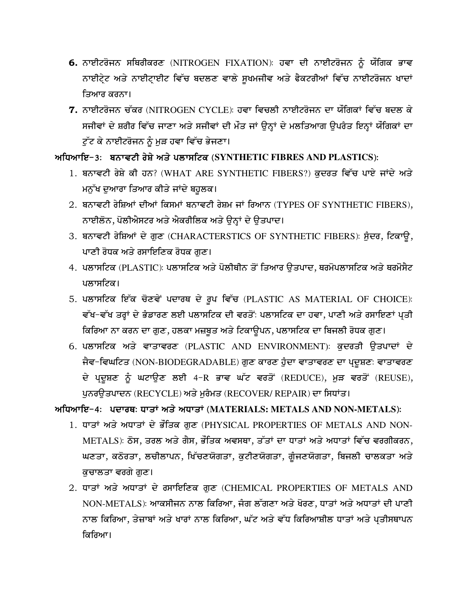- 6. ਨਾਈਟਰੋਜਨ ਸਥਿਰੀਕਰਣ (NITROGEN FIXATION): ਹਵਾ ਦੀ ਨਾਈਟਰੋਜਨ ਨੂੰ ਯੌਗਿਕ ਭਾਵ ਨਾਈਟ੍ਰੇਟ ਅਤੇ ਨਾਈਟ੍ਰਾਈਟ ਵਿੱਚ ਬਦਲਣ ਵਾਲੇ ਸੁਖਮਜੀਵ ਅਤੇ ਫੈਕਟਰੀਆਂ ਵਿੱਚ ਨਾਈਟਰੋਜਨ ਖਾਦਾਂ ਤਿਆਰ ਕਰਨਾ।
- 7. ਨਾਈਟਰੋਜਨ ਚੱਕਰ (NITROGEN CYCLE): ਹਵਾ ਵਿਚਲੀ ਨਾਈਟਰੋਜਨ ਦਾ ਯੌਗਿਕਾਂ ਵਿੱਚ ਬਦਲ ਕੇ ਸਜੀਵਾਂ ਦੇ ਸ਼ਰੀਰ ਵਿੱਚ ਜਾਣਾ ਅਤੇ ਸਜੀਵਾਂ ਦੀ ਮੌਤ ਜਾਂ ਉਨ੍ਹਾਂ ਦੇ ਮਲਤਿਆਗ ਉਪਰੰਤ ਇਨ੍ਹਾਂ ਯੌਗਿਕਾਂ ਦਾ ਟੁੱਟ ਕੇ ਨਾਈਟਰੋਜਨ ਨੂੰ ਮੁੜ ਹਵਾ ਵਿੱਚ ਭੇਜਣਾ।

# ਅਧਿਆਇ-3: ਬਨਾਵਟੀ ਰੇਸ਼ੇ ਅਤੇ ਪਲਾਸਟਿਕ (SYNTHETIC FIBRES AND PLASTICS):

- 1. ਬਨਾਵਟੀ ਰੇਸ਼ੇ ਕੀ ਹਨ? (WHAT ARE SYNTHETIC FIBERS?) ਕੁਦਰਤ ਵਿੱਚ ਪਾਏ ਜਾਂਦੇ ਅਤੇ ਮਨੁੱਖ ਦੁਆਰਾ ਤਿਆਰ ਕੀਤੇ ਜਾਂਦੇ ਬਹੁਲਕ।
- 2. ਬਨਾਵਟੀ ਰੇਸ਼ਿਆਂ ਦੀਆਂ ਕਿਸਮਾਂ ਬਨਾਵਟੀ ਰੇਸ਼ਮ ਜਾਂ ਰਿਆਨ (TYPES OF SYNTHETIC FIBERS), ਨਾਈਲੋਨ, ਪੋਲੀਐਸਟਰ ਅਤੇ ਐਕਰੀਲਿਕ ਅਤੇ ਉਨ੍ਹਾਂ ਦੇ ਉਤਪਾਦ।
- 3. ਬਨਾਵਟੀ ਰੇਸ਼ਿਆਂ ਦੇ ਗੁਣ (CHARACTERSTICS OF SYNTHETIC FIBERS): ਸੁੰਦਰ, ਟਿਕਾਊ, ਪਾਣੀ ਰੋਧਕ ਅਤੇ ਰਸਾਇਣਿਕ ਰੋਧਕ ਗਣ।
- 4. ਪਲਾਸਟਿਕ (PLASTIC): ਪਲਾਸਟਿਕ ਅਤੇ ਪੋਲੀਥੀਨ ਤੋਂ ਤਿਆਰ ੳਤਪਾਦ, ਥਰਮੋਪਲਾਸਟਿਕ ਅਤੇ ਥਰਮੋਸੈਟ ਪਲਾਸਟਿਕ।
- 5. ਪਲਾਸਟਿਕ ਇੱਕ ਚੋਣਵੇਂ ਪਦਾਰਥ ਦੇ ਰੂਪ ਵਿੱਚ (PLASTIC AS MATERIAL OF CHOICE): ਵੱਖ-ਵੱਖ ਤਰ੍ਹਾਂ ਦੇ ਭੰਡਾਰਣ ਲਈ ਪਲਾਸਟਿਕ ਦੀ ਵਰਤੋਂ: ਪਲਾਸਟਿਕ ਦਾ ਹਵਾ, ਪਾਣੀ ਅਤੇ ਰਸਾਇਣਾਂ ਪ੍ਰਤੀ ਕਿਰਿਆ ਨਾ ਕਰਨ ਦਾ ਗੁਣ, ਹਲਕਾ ਮਜ਼ਬੂਤ ਅਤੇ ਟਿਕਾਉਪਨ, ਪਲਾਸਟਿਕ ਦਾ ਬਿਜਲੀ ਰੋਧਕ ਗੁਣ।
- 6. ਪਲਾਸਟਿਕ ਅਤੇ ਵਾਤਾਵਰਣ (PLASTIC AND ENVIRONMENT): ਕਦਰਤੀ ਉਤਪਾਦਾਂ ਦੇ ਜੈਵ-ਵਿਘਟਿਤ (NON-BIODEGRADABLE) ਗੁਣ ਕਾਰਣ ਹੁੰਦਾ ਵਾਤਾਵਰਣ ਦਾ ਪਦੂਸ਼ਣ: ਵਾਤਾਵਰਣ ਦੇ ਪ੍ਰਦੂਸ਼ਣ ਨੂੰ ਘਟਾਉਣ ਲਈ 4-R ਭਾਵ ਘੱਟ ਵਰਤੋਂ (REDUCE), ਮੁੜ ਵਰਤੋਂ (REUSE), ਪਨਰੳਤਪਾਦਨ (RECYCLE) ਅਤੇ ਮਰੰਮਤ (RECOVER/REPAIR) ਦਾ ਸਿਧਾਂਤ।

ਅਧਿਆਇ-4: ਪਦਾਰਥ: ਧਾਤਾਂ ਅਤੇ ਅਧਾਤਾਂ (MATERIALS: METALS AND NON-METALS):

- 1. ਧਾਤਾਂ ਅਤੇ ਅਧਾਤਾਂ ਦੇ ਭੌਤਿਕ ਗਣ (PHYSICAL PROPERTIES OF METALS AND NON-METALS): ਠੋਸ, ਤਰਲ ਅਤੇ ਗੈਸ, ਭੌਤਿਕ ਅਵਸਥਾ, ਤੱਤਾਂ ਦਾ ਧਾਤਾਂ ਅਤੇ ਅਧਾਤਾਂ ਵਿੱਚ ਵਰਗੀਕਰਨ, ਘਣਤਾ, ਕਠੋਰਤਾ, ਲਚੀਲਾਪਨ, ਖਿੱਚਣਯੋਗਤਾ, ਕੁਟੀਣਯੋਗਤਾ, ਗੁੰਜਣਯੋਗਤਾ, ਬਿਜਲੀ ਚਾਲਕਤਾ ਅਤੇ ਕੁਚਾਲਤਾ ਵਰਗੇ ਗੁਣ।
- 2. ਧਾਤਾਂ ਅਤੇ ਅਧਾਤਾਂ ਦੇ ਰਸਾਇਣਿਕ ਗਣ (CHEMICAL PROPERTIES OF METALS AND NON-METALS): ਆਕਸੀਜਨ ਨਾਲ ਕਿਰਿਆ, ਜੰਗ ਲੱਗਣਾ ਅਤੇ ਖੋਰਣ, ਧਾਤਾਂ ਅਤੇ ਅਧਾਤਾਂ ਦੀ ਪਾਣੀ ਨਾਲ ਕਿਰਿਆ, ਤੇਜ਼ਾਬਾਂ ਅਤੇ ਖਾਰਾਂ ਨਾਲ ਕਿਰਿਆ, ਘੱਟ ਅਤੇ ਵੱਧ ਕਿਰਿਆਸ਼ੀਲ ਧਾਤਾਂ ਅਤੇ ਪ੍ਰਤੀਸਥਾਪਨ ਕਿਰਿਆ।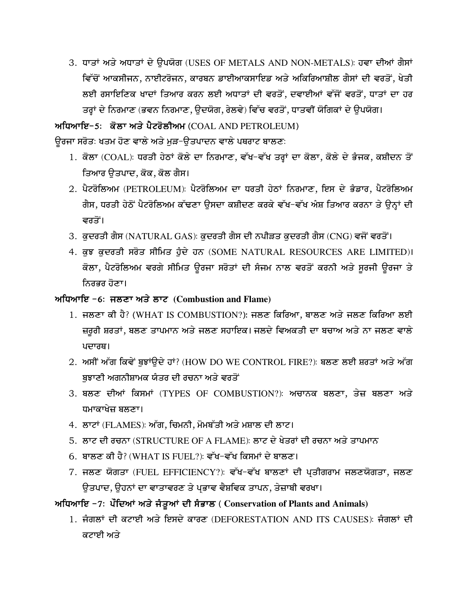3. ਧਾਤਾਂ ਅਤੇ ਅਧਾਤਾਂ ਦੇ ਉਪਯੋਗ (USES OF METALS AND NON-METALS): ਹਵਾ ਦੀਆਂ ਗੈਸਾਂ ਵਿੱਚੋਂ ਆਕਸੀਜਨ, ਨਾਈਟਰੋਜਨ, ਕਾਰਬਨ ਡਾਈਆਕਸਾਇਡ ਅਤੇ ਅਕਿਰਿਆਸ਼ੀਲ ਗੈਸਾਂ ਦੀ ਵਰਤੋਂ, ਖੇਤੀ ਲਈ ਰਸਾਇਣਿਕ ਖਾਦਾਂ ਤਿਆਰ ਕਰਨ ਲਈ ਅਧਾਤਾਂ ਦੀ ਵਰਤੋਂ, ਦਵਾਈਆਂ ਵੱਜੋਂ ਵਰਤੋਂ, ਧਾਤਾਂ ਦਾ ਹਰ ਤਰ੍ਹਾਂ ਦੇ ਨਿਰਮਾਣ (ਭਵਨ ਨਿਰਮਾਣ, ੳਦਯੋਗ, ਰੇਲਵੇ) ਵਿੱਚ ਵਰਤੋਂ, ਧਾਤਵੀਂ ਯੋਗਿਕਾਂ ਦੇ ੳਪਯੋਗ।

#### ਅਧਿਆਇ-5: ਕੋਲਾ ਅਤੇ ਪੈਟਰੋਲੀਅਮ (COAL AND PETROLEUM)

ਉਰਜਾ ਸਰੋਤ: ਖਤਮ ਹੋਣ ਵਾਲੇ ਅਤੇ ਮੁੜ-ਉਤਪਾਦਨ ਵਾਲੇ ਪਥਰਾਟ ਬਾਲਣ:

- 1. ਕੋਲਾ (COAL): ਧਰਤੀ ਹੇਠਾਂ ਕੋਲੇ ਦਾ ਨਿਰਮਾਣ, ਵੱਖ-ਵੱਖ ਤਰ੍ਹਾਂ ਦਾ ਕੋਲਾ, ਕੋਲੇ ਦੇ ਭੰਜਕ, ਕਸ਼ੀਦਨ ਤੋਂ ਤਿਆਰ ਉਤਪਾਦ, ਕੋਕ, ਕੋਲ ਗੈਸ।
- 2. ਪੈਟਰੋਲਿਅਮ (PETROLEUM): ਪੈਟਰੋਲਿਅਮ ਦਾ ਧਰਤੀ ਹੇਠਾਂ ਨਿਰਮਾਣ, ਇਸ ਦੇ ਭੰਡਾਰ, ਪੈਟਰੋਲਿਅਮ ਗੈਸ, ਧਰਤੀ ਹੇਠੋਂ ਪੈਟਰੋਲਿਅਮ ਕੱਢਣਾ ਉਸਦਾ ਕਸ਼ੀਦਣ ਕਰਕੇ ਵੱਖ-ਵੱਖ ਅੰਸ਼ ਤਿਆਰ ਕਰਨਾ ਤੇ ਉਨ੍ਹਾਂ ਦੀ ਵਰਤੋਂ।
- 3. ਕੁਦਰਤੀ ਗੈਸ (NATURAL GAS): ਕੁਦਰਤੀ ਗੈਸ ਦੀ ਨਪੀੜਤ ਕੁਦਰਤੀ ਗੈਸ (CNG) ਵਜੋਂ ਵਰਤੋਂ।
- 4. ਕੁਝ ਕੁਦਰਤੀ ਸਰੋਤ ਸੀਮਿਤ ਹੁੰਦੇ ਹਨ (SOME NATURAL RESOURCES ARE LIMITED)। ਕੋਲਾ, ਪੈਟਰੋਲਿਅਮ ਵਰਗੇ ਸੀਮਿਤ ਉਰਜਾ ਸਰੋਤਾਂ ਦੀ ਸੈਜਮ ਨਾਲ ਵਰਤੋਂ ਕਰਨੀ ਅਤੇ ਸੁਰਜੀ ਉਰਜਾ ਤੇ ਨਿਰਭਰ ਹੋਣਾ।

#### ਅਧਿਆਇ -6: ਜਲਣਾ ਅਤੇ ਲਾਟ (Combustion and Flame)

- 1. ਜਲਣਾ ਕੀ ਹੈ? (WHAT IS COMBUSTION?): ਜਲਣ ਕਿਰਿਆ, ਬਾਲਣ ਅਤੇ ਜਲਣ ਕਿਰਿਆ ਲਈ ਜ਼ਰੂਰੀ ਸ਼ਰਤਾਂ, ਬਲਣ ਤਾਪਮਾਨ ਅਤੇ ਜਲਣ ਸਹਾਇਕ। ਜਲਦੇ ਵਿਅਕਤੀ ਦਾ ਬਚਾਅ ਅਤੇ ਨਾ ਜਲਣ ਵਾਲੇ ਪਦਾਰਥ।
- 2. ਅਸੀਂ ਅੱਗ ਕਿਵੇਂ ਬਝਾਂੳਦੇ ਹਾਂ? (HOW DO WE CONTROL FIRE?): ਬਲਣ ਲਈ ਸ਼ਰਤਾਂ ਅਤੇ ਅੱਗ ਬੁਝਾਣੀ ਅਗਨੀਸ਼ਾਮਕ ਯੰਤਰ ਦੀ ਰਚਨਾ ਅਤੇ ਵਰਤੋਂ
- 3. ਬਲਣ ਦੀਆਂ ਕਿਸਮਾਂ (TYPES OF COMBUSTION?): ਅਚਾਨਕ ਬਲਣਾ, ਤੇਜ਼ ਬਲਣਾ ਅਤੇ ਧਮਾਕਾਖੇਜ਼ ਬਲਣਾ।
- 4. ਲਾਟਾਂ (FLAMES): ਅੱਗ, ਚਿਮਨੀ, ਮੋਮਬੱਤੀ ਅਤੇ ਮਸ਼ਾਲ ਦੀ ਲਾਟ।
- 5. ਲਾਟ ਦੀ ਰਚਨਾ (STRUCTURE OF A FLAME): ਲਾਟ ਦੇ ਖੇਤਰਾਂ ਦੀ ਰਚਨਾ ਅਤੇ ਤਾਪਮਾਨ
- 6. ਬਾਲਣ ਕੀ ਹੈ? (WHAT IS FUEL?): ਵੱਖ-ਵੱਖ ਕਿਸਮਾਂ ਦੇ ਬਾਲਣ।
- 7. ਜਲਣ ਯੋਗਤਾ (FUEL EFFICIENCY?): ਵੱਖ-ਵੱਖ ਬਾਲਣਾਂ ਦੀ ਪਤੀਗਰਾਮ ਜਲਣਯੋਗਤਾ, ਜਲਣ ੳਤਪਾਦ, ੳਹਨਾਂ ਦਾ ਵਾਤਾਵਰਣ ਤੇ ਪਭਾਵ ਵੈਸ਼ਵਿਕ ਤਾਪਨ, ਤੇਜ਼ਾਬੀ ਵਰਖਾ।

# ਅਧਿਆਇ −7: ਪੌਦਿਆਂ ਅਤੇ ਜੰਤੂਆਂ ਦੀ ਸੰਭਾਲ ( Conservation of Plants and Animals)

1. ਜੰਗਲਾਂ ਦੀ ਕਟਾਈ ਅਤੇ ਇਸਦੇ ਕਾਰਣ (DEFORESTATION AND ITS CAUSES): ਜੰਗਲਾਂ ਦੀ ਕਟਾਈ ਅਤੇ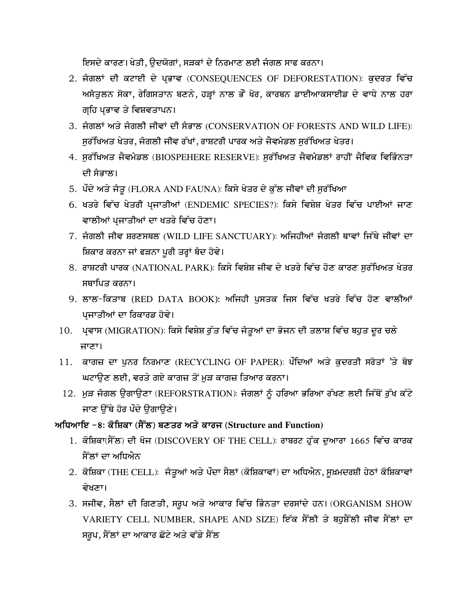ਇਸਦੇ ਕਾਰਣ। ਖੇਤੀ, ਉਦਯੋਗਾਂ, ਸੜਕਾਂ ਦੇ ਨਿਰਮਾਣ ਲਈ ਜੰਗਲ ਸਾਫ ਕਰਨਾ।

- 2. ਜੰਗਲਾਂ ਦੀ ਕਟਾਈ ਦੇ ਪ੍ਰਭਾਵ (CONSEQUENCES OF DEFORESTATION): ਕੁਦਰਤ ਵਿੱਚ ਅਸੰਤੂਲਨ ਸੋਕਾ, ਰੇਗਿਸਤਾਨ ਬਣਨੇ, ਹੜ੍ਹਾਂ ਨਾਲ ਭੌਂ ਖੋਰ, ਕਾਰਬਨ ਡਾਈਆਕਸਾਈਡ ਦੇ ਵਾਧੇ ਨਾਲ ਹਰਾ ਗਹਿ ਪਭਾਵ ਤੇ ਵਿਸ਼ਵਤਾਪਨ।
- 3. ਜੰਗਲਾਂ ਅਤੇ ਜੰਗਲੀ ਜੀਵਾਂ ਦੀ ਸੰਭਾਲ (CONSERVATION OF FORESTS AND WILD LIFE): ਸੁਰੱਖਿਅਤ ਖੇਤਰ, ਜੰਗਲੀ ਜੀਵ ਰੱਖਾਂ, ਰਾਸ਼ਟਰੀ ਪਾਰਕ ਅਤੇ ਜੈਵਮੰਡਲ ਸੁਰੱਖਿਅਤ ਖੇਤਰ।
- 4. ਸੁਰੱਖਿਅਤ ਜੈਵਮੰਡਲ (BIOSPEHERE RESERVE): ਸੁਰੱਖਿਅਤ ਜੈਵਮੰਡਲਾਂ ਰਾਹੀਂ ਜੈਵਿਕ ਵਿਭਿੰਨਤਾ ਦੀ ਸੰਭਾਲ।
- 5. ਪੌਦੇ ਅਤੇ ਜੰਤੂ (FLORA AND FAUNA): ਕਿਸੇ ਖੇਤਰ ਦੇ ਕੁੱਲ ਜੀਵਾਂ ਦੀ ਸੁਰੱਖਿਆ
- 6. ਖਤਰੇ ਵਿੱਚ ਖੇਤਰੀ ਪ੍ਰਜਾਤੀਆਂ (ENDEMIC SPECIES?): ਕਿਸੇ ਵਿਸ਼ੇਸ਼ ਖੇਤਰ ਵਿੱਚ ਪਾਈਆਂ ਜਾਣ ਵਾਲੀਆਂ ਪਜਾਤੀਆਂ ਦਾ ਖਤਰੇ ਵਿੱਚ ਹੋਣਾ।
- 7. ਜੰਗਲੀ ਜੀਵ ਸ਼ਰਣਸਥਲ (WILD LIFE SANCTUARY): ਅਜਿਹੀਆਂ ਜੰਗਲੀ ਥਾਵਾਂ ਜਿੱਥੇ ਜੀਵਾਂ ਦਾ ਸ਼ਿਕਾਰ ਕਰਨਾ ਜਾਂ ਫੜਨਾ ਪੂਰੀ ਤਰ੍ਹਾਂ ਬੰਦ ਹੋਵੇ।
- 8. ਰਾਸ਼ਟਰੀ ਪਾਰਕ (NATIONAL PARK): ਕਿਸੇ ਵਿਸ਼ੇਸ਼ ਜੀਵ ਦੇ ਖਤਰੇ ਵਿੱਚ ਹੋਣ ਕਾਰਣ ਸਰੱਖਿਅਤ ਖੇਤਰ ਸਥਾਪਿਤ ਕਰਨਾ।
- 9. ਲਾਲ-ਕਿਤਾਬ (RED DATA BOOK): ਅਜਿਹੀ ਪਸਤਕ ਜਿਸ ਵਿੱਚ ਖਤਰੇ ਵਿੱਚ ਹੋਣ ਵਾਲੀਆਂ ਪਜਾਤੀਆਂ ਦਾ ਰਿਕਾਰਡ ਹੋਵੇ।
- 10. ਪਵਾਸ (MIGRATION): ਕਿਸੇ ਵਿਸ਼ੇਸ਼ ਰੁੱਤ ਵਿੱਚ ਜੰਤੂਆਂ ਦਾ ਭੋਜਨ ਦੀ ਤਲਾਸ਼ ਵਿੱਚ ਬਹੁਤ ਦੂਰ ਚਲੇ ਜਾਣਾ।
- 11. ਕਾਗਜ਼ ਦਾ ਪਨਰ ਨਿਰਮਾਣ (RECYCLING OF PAPER): ਪੌਦਿਆਂ ਅਤੇ ਕਦਰਤੀ ਸਰੋਤਾਂ 'ਤੇ ਬੋਝ ਘਟਾਉਣ ਲਈ, ਵਰਤੇ ਗਏ ਕਾਗਜ਼ ਤੋਂ ਮੁੜ ਕਾਗਜ਼ ਤਿਆਰ ਕਰਨਾ।
- 12. ਮੁੜ ਜੰਗਲ ਉਗਾਉਣਾ (REFORSTRATION): ਜੰਗਲਾਂ ਨੂੰ ਹਰਿਆ ਭਰਿਆ ਰੱਖਣ ਲਈ ਜਿੱਥੋਂ ਰੁੱਖ ਕੱਟੇ ਜਾਣ ਉੱਥੇ ਹੋਰ ਪੌਦੇ ਉਗਾਉਣੇ।

### ਅਧਿਆਇ -8: ਕੋਸ਼ਿਕਾ (ਸੈੱਲ) ਬਣਤਰ ਅਤੇ ਕਾਰਜ (Structure and Function)

- 1. ਕੋਸ਼ਿਕਾ(ਸੈੱਲ) ਦੀ ਖੋਜ (DISCOVERY OF THE CELL): ਰਾਬਰਟ ਹੁੱਕ ਦੁਆਰਾ 1665 ਵਿੱਚ ਕਾਰਕ ਸੈੱਲਾਂ ਦਾ ਅਧਿਐਨ
- 2. ਕੋਸ਼ਿਕਾ (THE CELL): ਜੰਤੂਆਂ ਅਤੇ ਪੌਦਾ ਸੈਲਾਂ (ਕੋਸ਼ਿਕਾਵਾਂ) ਦਾ ਅਧਿਐਨ, ਸੁਖ਼ਮਦਰਸ਼ੀ ਹੇਠਾਂ ਕੋਸ਼ਿਕਾਵਾਂ ਵੇਖਣਾ।
- 3. ਸਜੀਵ, ਸੈਲਾਂ ਦੀ ਗਿਣਤੀ, ਸਰੂਪ ਅਤੇ ਆਕਾਰ ਵਿੱਚ ਭਿੰਨਤਾ ਦਰਸਾਂਦੇ ਹਨ। (ORGANISM SHOW VARIETY CELL NUMBER, SHAPE AND SIZE) ਇੱਕ ਸੈੱਲੀ ਤੇ ਬਹਸ਼ੈੱਲੀ ਜੀਵ ਸੈੱਲਾਂ ਦਾ ਸਰੂਪ, ਸੈੱਲਾਂ ਦਾ ਆਕਾਰ ਛੋਟੇ ਅਤੇ ਵੱਡੇ ਸੈੱਲ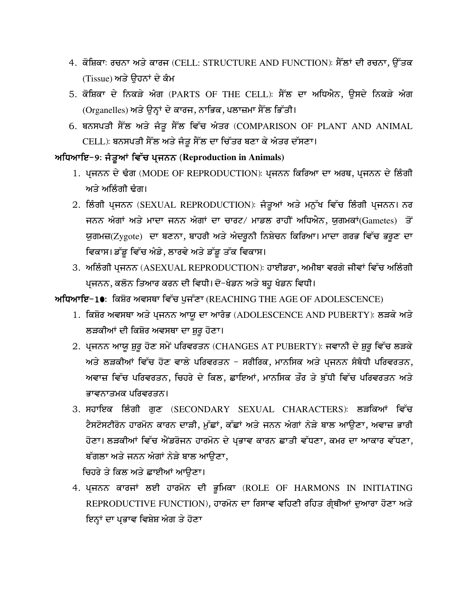- 4. ਕੋਸ਼ਿਕਾ: ਰਚਨਾ ਅਤੇ ਕਾਰਜ (CELL: STRUCTURE AND FUNCTION): ਸੈੱਲਾਂ ਦੀ ਰਚਨਾ, ਉੱਤਕ (Tissue) ਅਤੇ ਉਹਨਾਂ ਦੇ ਕੰਮ
- 5. ਕੋਸ਼ਿਕਾ ਦੇ ਨਿਕੜੇ ਅੰਗ (PARTS OF THE CELL): ਸੈੱਲ ਦਾ ਅਧਿਐਨ, ਉਸਦੇ ਨਿਕੜੇ ਅੰਗ (Organelles) ਅਤੇ ਉਨ੍ਹਾਂ ਦੇ ਕਾਰਜ, ਨਾਭਿਕ, ਪਲਾਜ਼ਮਾ ਸੈੱਲ ਭਿੱਤੀ।
- 6. ਬਨਸਪਤੀ ਸੈੱਲ ਅਤੇ ਜੰਤੂ ਸੈੱਲ ਵਿੱਚ ਅੰਤਰ (COMPARISON OF PLANT AND ANIMAL CELL): ਬਨਸਪਤੀ ਸੈੱਲ ਅਤੇ ਜੰਤੁ ਸੈੱਲ ਦਾ ਚਿੱਤਰ ਬਣਾ ਕੇ ਅੰਤਰ ਦੱਸਣਾ।

#### ਅਧਿਆਇ-9: ਜੰਤੂਆਂ ਵਿੱਚ ਪ੍ਰਜਨਨ (Reproduction in Animals)

- 1. ਪ੍ਰਜਨਨ ਦੇ ਢੰਗ (MODE OF REPRODUCTION): ਪ੍ਰਜਨਨ ਕਿਰਿਆ ਦਾ ਅਰਥ, ਪ੍ਰਜਨਨ ਦੇ ਲਿੰਗੀ ਅਤੇ ਅਲਿੰਗੀ ਢੰਗ।
- 2. ਲਿੰਗੀ ਪ੍ਰਜਨਨ (SEXUAL REPRODUCTION): ਜੰਤੂਆਂ ਅਤੇ ਮਨੁੱਖ ਵਿੱਚ ਲਿੰਗੀ ਪ੍ਰਜਨਨ। ਨਰ ਜਨਨ ਅੰਗਾਂ ਅਤੇ ਮਾਦਾ ਜਨਨ ਅੰਗਾਂ ਦਾ ਚਾਰਟ/ ਮਾਡਲ ਰਾਹੀਂ ਅਧਿਐਨ, ਯੁਗਮਕਾਂ(Gametes) ਤੋਂ ਯੁਗਮਜ਼(Zygote) ਦਾ ਬਣਨਾ, ਬਾਹਰੀ ਅਤੇ ਅੰਦਰੁਨੀ ਨਿਸ਼ੇਚਨ ਕਿਰਿਆ। ਮਾਦਾ ਗਰਭ ਵਿੱਚ ਭਰੁਣ ਦਾ ਵਿਕਾਸ। ਡੱਡੂ ਵਿੱਚ ਅੰਡੇ, ਲਾਰਵੇ ਅਤੇ ਡੱਡੂ ਤੱਕ ਵਿਕਾਸ।
- 3. ਅਲਿੰਗੀ ਪਜਨਨ (ASEXUAL REPRODUCTION): ਹਾਈਡਰਾ, ਅਮੀਬਾ ਵਰਗੇ ਜੀਵਾਂ ਵਿੱਚ ਅਲਿੰਗੀ ਪ੍ਰਜਨਨ, ਕਲੋਨ ਤਿਆਰ ਕਰਨ ਦੀ ਵਿਧੀ। ਦੋ-ਖੰਡਨ ਅਤੇ ਬਹੁ ਖੰਡਨ ਵਿਧੀ।

ਅਧਿਆਇ−10: ਕਿਸ਼ੋਰ ਅਵਸਥਾ ਵਿੱਚ ਪੁਜੱਣਾ (REACHING THE AGE OF ADOLESCENCE)

- 1. ਕਿਸ਼ੋਰ ਅਵਸਥਾ ਅਤੇ ਪ੍ਰਜਨਨ ਆਯੁ ਦਾ ਆਰੰਭ (ADOLESCENCE AND PUBERTY): ਲੜਕੇ ਅਤੇ ਲੜਕੀਆਂ ਦੀ ਕਿਸ਼ੋਰ ਅਵਸਥਾ ਦਾ ਸ਼ੁਰੂ ਹੋਣਾ।
- 2. ਪ੍ਰਜਨਨ ਆਯੂ ਸ਼ੁਰੂ ਹੋਣ ਸਮੇਂ ਪਰਿਵਰਤਨ (CHANGES AT PUBERTY): ਜਵਾਨੀ ਦੇ ਸ਼ੁਰੂ ਵਿੱਚ ਲੜਕੇ ਅਤੇ ਲੜਕੀਆਂ ਵਿੱਚ ਹੋਣ ਵਾਲੇ ਪਰਿਵਰਤਨ - ਸਰੀਰਿਕ, ਮਾਨਸਿਕ ਅਤੇ ਪਜਨਨ ਸੰਬੰਧੀ ਪਰਿਵਰਤਨ, ਅਵਾਜ਼ ਵਿੱਚ ਪਰਿਵਰਤਨ, ਚਿਹਰੇ ਦੇ ਕਿਲ, ਛਾਇਆਂ, ਮਾਨਸਿਕ ਤੌਰ ਤੇ ਬੁੱਧੀ ਵਿੱਚ ਪਰਿਵਰਤਨ ਅਤੇ ਕਾਵਨਾਤਮਕ ਪਰਿਵਰਤਨ।
- 3. ਸਹਾਇਕ ਲਿੰਗੀ ਗੁਣ (SECONDARY SEXUAL CHARACTERS): ਲੜਕਿਆਂ ਵਿੱਚ ਟੈਸਟੋਸਟੀਰੋਨ ਹਾਰਮੋਨ ਕਾਰਨ ਦਾੜੀ, ਮੁੱਛਾਂ, ਕੱਛਾਂ ਅਤੇ ਜਨਨ ਅੰਗਾਂ ਨੇੜੇ ਬਾਲ ਆਉਣਾ, ਅਵਾਜ਼ ਭਾਰੀ ਹੋਣਾ। ਲੜਕੀਆਂ ਵਿੱਚ ਐਂਡਰੋਜਨ ਹਾਰਮੋਨ ਦੇ ਪ੍ਰਭਾਵ ਕਾਰਨ ਛਾਤੀ ਵੱਧਣਾ, ਕਮਰ ਦਾ ਆਕਾਰ ਵੱਧਣਾ, ਬੱਗਲਾ ਅਤੇ ਜਨਨ ਅੰਗਾਂ ਨੇੜੇ ਬਾਲ ਆੳਣਾ,

ਚਿਹਰੇ ਤੇ ਕਿਲ ਅਤੇ ਛਾਈਆਂ ਆਉਣਾ।

4. ਪ੍ਰਜਨਨ ਕਾਰਜਾਂ ਲਈ ਹਾਰਮੋਨ ਦੀ ਭੂਮਿਕਾ (ROLE OF HARMONS IN INITIATING REPRODUCTIVE FUNCTION), ਹਾਰਮੋਨ ਦਾ ਰਿਸਾਵ ਵਹਿਣੀ ਰਹਿਤ ਗੁੰਥੀਆਂ ਦੁਆਰਾ ਹੋਣਾ ਅਤੇ ਇਨ੍ਹਾਂ ਦਾ ਪ੍ਰਭਾਵ ਵਿਸ਼ੇਸ਼ ਅੰਗ ਤੇ ਹੋਣਾ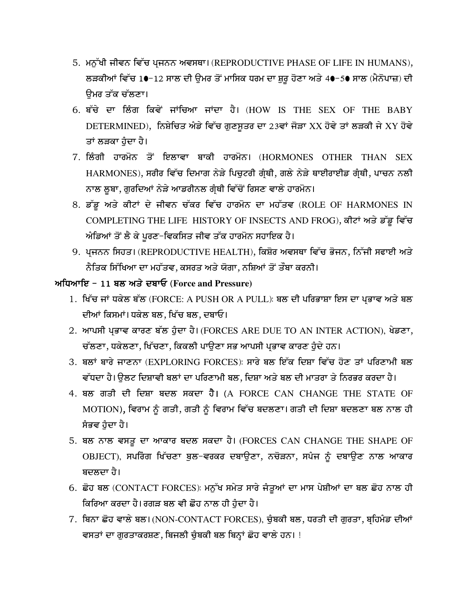- 5. ਮਨੁੱਖੀ ਜੀਵਨ ਵਿੱਚ ਪਜਨਨ ਅਵਸਥਾ। (REPRODUCTIVE PHASE OF LIFE IN HUMANS), ਲੜਕੀਆਂ ਵਿੱਚ 1•-12 ਸਾਲ ਦੀ ਉਮਰ ਤੋਂ ਮਾਸਿਕ ਧਰਮ ਦਾ ਸ਼ੁਰੂ ਹੋਣਾ ਅਤੇ 4•-5• ਸਾਲ (ਮੈਨੋਪਾਜ਼) ਦੀ ੳਮਰ ਤੱਕ ਚੱਲਣਾ।
- 6. ਬੱਚੇ ਦਾ ਲਿੰਗ ਕਿਵੇਂ ਜਾਂਚਿਆ ਜਾਂਦਾ ਹੈ। (HOW IS THE SEX OF THE BABY DETERMINED), ਨਿਸ਼ੇਚਿਤ ਅੰਡੇ ਵਿੱਚ ਗੁਣਸੂਤਰ ਦਾ 23ਵਾਂ ਜੋੜਾ XX ਹੋਵੇ ਤਾਂ ਲੜਕੀ ਜੇ XY ਹੋਵੇ ਤਾਂ ਲੜਕਾ ਹੁੰਦਾ ਹੈ।
- 7. ਲਿੰਗੀ ਹਾਰਮੋਨ ਤੋਂ ਇਲਾਵਾ ਬਾਕੀ ਹਾਰਮੋਨ। (HORMONES OTHER THAN SEX HARMONES), ਸਰੀਰ ਵਿੱਚ ਦਿਮਾਗ ਨੇੜੇ ਪਿਚੁਟਰੀ ਗੁੰਥੀ, ਗਲੇ ਨੇੜੇ ਥਾਈਰਾਈਡ ਗੁੰਥੀ, ਪਾਚਨ ਨਲੀ ਨਾਲ ਲੂਬਾ, ਗੁਰਦਿਆਂ ਨੇੜੇ ਆਡਰੀਨਲ ਗ੍ਰੰਥੀ ਵਿੱਚੋਂ ਰਿਸਣ ਵਾਲੇ ਹਾਰਮੋਨ।
- 8. ਡੱਡੂ ਅਤੇ ਕੀਟਾਂ ਦੇ ਜੀਵਨ ਚੱਕਰ ਵਿੱਚ ਹਾਰਮੋਨ ਦਾ ਮਹੱਤਵ (ROLE OF HARMONES IN COMPLETING THE LIFE HISTORY OF INSECTS AND FROG), ਕੀਟਾਂ ਅਤੇ ਡੱਡੂ ਵਿੱਚ ਅੰਡਿਆਂ ਤੋਂ ਲੈ ਕੇ ਪੂਰਣ-ਵਿਕਸਿਤ ਜੀਵ ਤੱਕ ਹਾਰਮੋਨ ਸਹਾਇਕ ਹੈ।
- 9. ਪ੍ਰਜਨਨ ਸਿਹਤ। (REPRODUCTIVE HEALTH), ਕਿਸ਼ੋਰ ਅਵਸਥਾ ਵਿੱਚ ਭੋਜਨ, ਨਿੱਜੀ ਸਫਾਈ ਅਤੇ ਨੈਤਿਕ ਸਿੱਖਿਆ ਦਾ ਮਹੱਤਵ, ਕਸਰਤ ਅਤੇ ਯੋਗਾ, ਨਸ਼ਿਆਂ ਤੋਂ ਤੌਬਾ ਕਰਨੀ।

## ਅਧਿਆਇ - 11 ਬਲ ਅਤੇ ਦਬਾਓ (Force and Pressure)

- 1. ਖਿੱਚ ਜਾਂ ਧਕੇਲ ਬੱਲ (FORCE: A PUSH OR A PULL): ਬਲ ਦੀ ਪਰਿਭਾਸ਼ਾ ਇਸ ਦਾ ਪਭਾਵ ਅਤੇ ਬਲ ਦੀਆਂ ਕਿਸਮਾਂ। ਧਕੇਲ ਬਲ, ਖਿੱਚ ਬਲ, ਦਬਾਓ।
- 2. ਆਪਸੀ ਪ੍ਰਭਾਵ ਕਾਰਣ ਬੱਲ ਹੁੰਦਾ ਹੈ। (FORCES ARE DUE TO AN INTER ACTION), ਖੇਡਣਾ, ਚੱਲਣਾ, ਧਕੇਲਣਾ, ਖਿੱਚਣਾ, ਕਿਕਲੀ ਪਾੳਣਾ ਸਭ ਆਪਸੀ ਪਭਾਵ ਕਾਰਣ ਹੈਦੇ ਹਨ।
- 3. ਬਲਾਂ ਬਾਰੇ ਜਾਣਨਾ (EXPLORING FORCES): ਸਾਰੇ ਬਲ ਇੱਕ ਦਿਸ਼ਾ ਵਿੱਚ ਹੋਣ ਤਾਂ ਪਰਿਣਾਮੀ ਬਲ ਵੱਧਦਾ ਹੈ। ਉਲਟ ਦਿਸ਼ਾਵੀ ਬਲਾਂ ਦਾ ਪਰਿਣਾਮੀ ਬਲ, ਦਿਸ਼ਾ ਅਤੇ ਬਲ ਦੀ ਮਾਤਰਾ ਤੇ ਨਿਰਭਰ ਕਰਦਾ ਹੈ।
- 4. ਬਲ ਗਤੀ ਦੀ ਦਿਸ਼ਾ ਬਦਲ ਸਕਦਾ ਹੈ। (A FORCE CAN CHANGE THE STATE OF MOTION), ਵਿਰਾਮ ਨੂੰ ਗਤੀ, ਗਤੀ ਨੂੰ ਵਿਰਾਮ ਵਿੱਚ ਬਦਲਣਾ। ਗਤੀ ਦੀ ਦਿਸ਼ਾ ਬਦਲਣਾ ਬਲ ਨਾਲ ਹੀ ਸੰਭਵ ਹੰਦਾ ਹੈ।
- 5. ਬਲ ਨਾਲ ਵਸਤੂ ਦਾ ਆਕਾਰ ਬਦਲ ਸਕਦਾ ਹੈ। (FORCES CAN CHANGE THE SHAPE OF OBJECT), ਸਪਰਿੰਗ ਖਿੱਚਣਾ ਬੁਲ-ਵਰਕਰ ਦਬਾਉਣਾ, ਨਚੋੜਨਾ, ਸਪੰਜ ਨੂੰ ਦਬਾਉਣ ਨਾਲ ਆਕਾਰ ਬਦਲਦਾ ਹੈ।
- 6. ਛੋਹ ਬਲ (CONTACT FORCES): ਮਨੁੱਖ ਸਮੇਤ ਸਾਰੇ ਜੰਤੂਆਂ ਦਾ ਮਾਸ ਪੇਸ਼ੀਆਂ ਦਾ ਬਲ ਛੋਹ ਨਾਲ ਹੀ ਕਿਰਿਆ ਕਰਦਾ ਹੈ। ਰਗੜ ਬਲ ਵੀ ਛੋਹ ਨਾਲ ਹੀ ਹੁੰਦਾ ਹੈ।
- 7. ਬਿਨਾ ਛੋਹ ਵਾਲੇ ਬਲ। (NON-CONTACT FORCES), ਚੁੰਬਕੀ ਬਲ, ਧਰਤੀ ਦੀ ਗੁਰਤਾ, ਬ੍ਰਹਿਮੰਡ ਦੀਆਂ ਵਸਤਾਂ ਦਾ ਗੁਰਤਾਕਰਸ਼ਣ, ਬਿਜਲੀ ਚੁੰਬਕੀ ਬਲ ਬਿਨ੍ਹਾਂ ਛੋਹ ਵਾਲੇ ਹਨ। !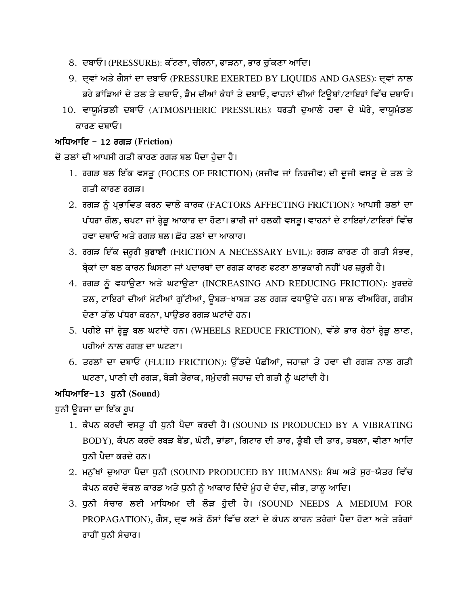- 8. ਦਬਾਓ। (PRESSURE): ਕੱਟਣਾ, ਚੀਰਨਾ, ਫਾੜਨਾ, ਭਾਰ ਚੁੱਕਣਾ ਆਦਿ।
- 9. ਦਵਾਂ ਅਤੇ ਗੈਸਾਂ ਦਾ ਦਬਾਓ (PRESSURE EXERTED BY LIQUIDS AND GASES): ਦਵਾਂ ਨਾਲ ਭਰੇ ਭਾਂਡਿਆਂ ਦੇ ਤਲ ਤੇ ਦਬਾਓ, ਡੈਮ ਦੀਆਂ ਕੰਧਾਂ ਤੇ ਦਬਾਓ, ਵਾਹਨਾਂ ਦੀਆਂ ਟਿਊਬਾਂ/ਟਾਇਰਾਂ ਵਿੱਚ ਦਬਾਓ।
- 10. ਵਾਯੁਮੰਡਲੀ ਦਬਾਓ (ATMOSPHERIC PRESSURE): ਧਰਤੀ ਦੁਆਲੇ ਹਵਾ ਦੇ ਘੇਰੇ, ਵਾਯੁਮੰਡਲ ਕਾਰਣ ਦਬਾਓ।

#### ਅਧਿਆਇ - 12 ਰਗੜ (Friction)

ਦੋ ਤਲਾਂ ਦੀ ਆਪਸੀ ਗਤੀ ਕਾਰਣ ਰਗੜ ਬਲ ਪੈਦਾ ਹੈਦਾ ਹੈ।

- 1. ਰਗੜ ਬਲ ਇੱਕ ਵਸਤੂ (FOCES OF FRICTION) (ਸਜੀਵ ਜਾਂ ਨਿਰਜੀਵ) ਦੀ ਦੂਜੀ ਵਸਤੂ ਦੇ ਤਲ ਤੇ ਗਤੀ ਕਾਰਣ ਰਗੜ।
- 2. ਰਗੜ ਨੂੰ ਪ੍ਰਭਾਵਿਤ ਕਰਨ ਵਾਲੇ ਕਾਰਕ (FACTORS AFFECTING FRICTION): ਆਪਸੀ ਤਲਾਂ ਦਾ ਪੱਧਰਾ ਗੋਲ, ਚਪਟਾ ਜਾਂ ਰ੍ਹੇੜੂ ਆਕਾਰ ਦਾ ਹੋਣਾ। ਭਾਰੀ ਜਾਂ ਹਲਕੀ ਵਸਤੂ। ਵਾਹਨਾਂ ਦੇ ਟਾਇਰਾਂ/ਟਾਇਰਾਂ ਵਿੱਚ ਹਵਾ ਦਬਾਓ ਅਤੇ ਰਗੜ ਬਲ। ਛੋਹ ਤਲਾਂ ਦਾ ਆਕਾਰ।
- 3. ਰਗੜ ਇੱਕ ਜ਼ਰੂਰੀ ਬੁਰਾਈ (FRICTION A NECESSARY EVIL): ਰਗੜ ਕਾਰਣ ਹੀ ਗਤੀ ਸੰਭਵ, ਬ੍ਰੇਕਾਂ ਦਾ ਬਲ ਕਾਰਨ ਘਿਸਣਾ ਜਾਂ ਪਦਾਰਥਾਂ ਦਾ ਰਗੜ ਕਾਰਣ ਫਟਣਾ ਲਾਭਕਾਰੀ ਨਹੀਂ ਪਰ ਜ਼ਰੂਰੀ ਹੈ।
- 4. ਰਗੜ ਨੂੰ ਵਧਾਉਣਾ ਅਤੇ ਘਟਾਉਣਾ (INCREASING AND REDUCING FRICTION): ਖੁਰਦਰੇ ਤਲ, ਟਾਇਰਾਂ ਦੀਆਂ ਮੋਟੀਆਂ ਗੁੱਟੀਆਂ, ਉਬੜ-ਖਾਬੜ ਤਲ ਰਗੜ ਵਧਾਉਂਦੇ ਹਨ। ਬਾਲ ਵੀਅਰਿੰਗ, ਗਰੀਸ ਦੇਣਾ ਤੱਲ ਪੱਧਰਾ ਕਰਨਾ, ਪਾਉਡਰ ਰਗੜ ਘਟਾਂਦੇ ਹਨ।
- 5. ਪਹੀਏ ਜਾਂ ਰ੍ਹੇੜੂ ਬਲ ਘਟਾਂਦੇ ਹਨ। (WHEELS REDUCE FRICTION), ਵੱਡੇ ਭਾਰ ਹੇਠਾਂ ਰ੍ਹੇੜੂ ਲਾਣ, ਪਹੀਆਂ ਨਾਲ ਰਗੜ ਦਾ ਘਟਣਾ।
- 6. ਤਰਲਾਂ ਦਾ ਦਬਾਓ (FLUID FRICTION): ਉੱਡਦੇ ਪੰਛੀਆਂ, ਜਹਾਜ਼ਾਂ ਤੇ ਹਵਾ ਦੀ ਰਗੜ ਨਾਲ ਗਤੀ ਘਟਣਾ, ਪਾਣੀ ਦੀ ਰਗੜ, ਬੇੜੀ ਤੈਰਾਕ, ਸਮੁੰਦਰੀ ਜਹਾਜ਼ ਦੀ ਗਤੀ ਨੂੰ ਘਟਾਂਦੀ ਹੈ।

# ਅਧਿਆਇ-13 ਧੁਨੀ (Sound)

ਧੁਨੀ ਉਰਜਾ ਦਾ ਇੱਕ ਰੁਪ

- 1. ਕੰਪਨ ਕਰਦੀ ਵਸਤੂ ਹੀ ਧੁਨੀ ਪੈਦਾ ਕਰਦੀ ਹੈ। (SOUND IS PRODUCED BY A VIBRATING BODY), ਕੰਪਨ ਕਰਦੇ ਰਬੜ ਬੈਂਡ, ਘੰਟੀ, ਭਾਂਡਾ, ਗਿਟਾਰ ਦੀ ਤਾਰ, ਤੁੰਬੀ ਦੀ ਤਾਰ, ਤਬਲਾ, ਵੀਣਾ ਆਦਿ ਧਨੀ ਪੈਦਾ ਕਰਦੇ ਹਨ।
- 2. ਮਨੁੱਖਾਂ ਦੁਆਰਾ ਪੈਦਾ ਧੁਨੀ (SOUND PRODUCED BY HUMANS): ਸੰਘ ਅਤੇ ਸੁਰ-ਯੰਤਰ ਵਿੱਚ ਕੰਪਨ ਕਰਦੇ ਵੋਕਲ ਕਾਰਡ ਅਤੇ ਧੁਨੀ ਨੂੰ ਆਕਾਰ ਦਿੰਦੇ ਮੂੰਹ ਦੇ ਦੰਦ, ਜੀਭ, ਤਾਲੂ ਆਦਿ।
- 3. ਧੁਨੀ ਸੰਚਾਰ ਲਈ ਮਾਧਿਅਮ ਦੀ ਲੋੜ ਹੁੰਦੀ ਹੈ। (SOUND NEEDS A MEDIUM FOR PROPAGATION), ਗੈਸ, ਦਵ ਅਤੇ ਠੋਸਾਂ ਵਿੱਚ ਕਣਾਂ ਦੇ ਕੰਪਨ ਕਾਰਨ ਤਰੰਗਾਂ ਪੈਦਾ ਹੋਣਾ ਅਤੇ ਤਰੰਗਾਂ ਰਾਹੀਂ ਧੁਨੀ ਸੰਚਾਰ।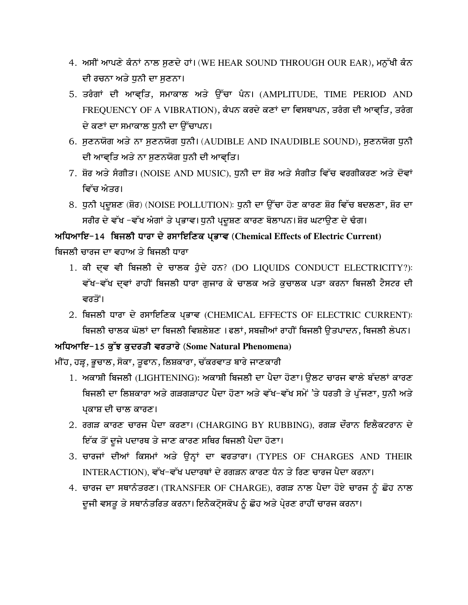- 4. ਅਸੀਂ ਆਪਣੇ ਕੰਨਾਂ ਨਾਲ ਸੁਣਦੇ ਹਾਂ। (WE HEAR SOUND THROUGH OUR EAR), ਮਨੁੱਖੀ ਕੰਨ ਦੀ ਰਚਨਾ ਅਤੇ ਧਨੀ ਦਾ ਸਣਨਾ।
- 5. ਤਰੰਗਾਂ ਦੀ ਆਵ੍ਤਿ, ਸਮਾਕਾਲ ਅਤੇ ਉੱਚਾ ਪੰਨ। (AMPLITUDE, TIME PERIOD AND FREQUENCY OF A VIBRATION), ਕੰਪਨ ਕਰਦੇ ਕਣਾਂ ਦਾ ਵਿਸਥਾਪਨ, ਤਰੰਗ ਦੀ ਆਵਤਿ, ਤਰੰਗ ਦੇ ਕਣਾਂ ਦਾ ਸਮਾਕਾਲ ਧੁਨੀ ਦਾ ਉੱਚਾਪਨ।
- 6. ਸੁਣਨਯੋਗ ਅਤੇ ਨਾ ਸੁਣਨਯੋਗ ਧੁਨੀ। (AUDIBLE AND INAUDIBLE SOUND), ਸੁਣਨਯੋਗ ਧੁਨੀ ਦੀ ਆਵ੍ਤਿ ਅਤੇ ਨਾ ਸੁਣਨਯੋਗ ਧੁਨੀ ਦੀ ਆਵ੍ਤਿ।
- 7. ਸ਼ੋਰ ਅਤੇ ਸੰਗੀਤ। (NOISE AND MUSIC), ਧੁਨੀ ਦਾ ਸ਼ੋਰ ਅਤੇ ਸੰਗੀਤ ਵਿੱਚ ਵਰਗੀਕਰਣ ਅਤੇ ਦੋਵਾਂ ਵਿੱਚ ਐਤਰ।
- 8. ਧੁਨੀ ਪ੍ਰਦੂਸ਼ਣ (ਸ਼ੋਰ) (NOISE POLLUTION): ਧੁਨੀ ਦਾ ਉੱਚਾ ਹੋਣ ਕਾਰਣ ਸ਼ੋਰ ਵਿੱਚ ਬਦਲਣਾ, ਸ਼ੋਰ ਦਾ ਸਰੀਰ ਦੇ ਵੱਖ -ਵੱਖ ਅੰਗਾਂ ਤੇ ਪ੍ਰਭਾਵ। ਧੁਨੀ ਪ੍ਰਦੂਸ਼ਣ ਕਾਰਣ ਬੋਲਾਪਨ। ਸ਼ੋਰ ਘਟਾਉਣ ਦੇ ਢੰਗ।

# ਅਧਿਆਇ-14 ਬਿਜਲੀ ਧਾਰਾ ਦੇ ਰਸਾਇਣਿਕ ਪ੍ਰਭਾਵ (Chemical Effects of Electric Current) ਬਿਜਲੀ ਚਾਰਜ ਦਾ ਵਹਾਅ ਤੇ ਬਿਜਲੀ ਧਾਰਾ

- 1. ਕੀ ਦਵ ਵੀ ਬਿਜਲੀ ਦੇ ਚਾਲਕ ਹੁੰਦੇ ਹਨ? (DO LIQUIDS CONDUCT ELECTRICITY?): ਵੱਖ-ਵੱਖ ਦ੍ਵਾਂ ਰਾਹੀਂ ਬਿਜਲੀ ਧਾਰਾ ਗੁਜਾਰ ਕੇ ਚਾਲਕ ਅਤੇ ਕੁਚਾਲਕ ਪਤਾ ਕਰਨਾ ਬਿਜਲੀ ਟੈਸਟਰ ਦੀ ਵਰਤੋਂ।
- 2. ਬਿਜਲੀ ਧਾਰਾ ਦੇ ਰਸਾਇਣਿਕ ਪ੍ਰਭਾਵ (CHEMICAL EFFECTS OF ELECTRIC CURRENT): ਬਿਜਲੀ ਚਾਲਕ ਘੋਲਾਂ ਦਾ ਬਿਜਲੀ ਵਿਸ਼ਲੇਸ਼ਣ ।ਫਲਾਂ, ਸਬਜ਼ੀਆਂ ਰਾਹੀਂ ਬਿਜਲੀ ੳਤਪਾਦਨ, ਬਿਜਲੀ ਲੇਪਨ।

# ਅਧਿਆਇ-15 ਕੱਝ ਕਦਰਤੀ ਵਰਤਾਰੇ (Some Natural Phenomena)

ਮੀਂਹ, ਹੜ੍ਹ, ਭੂਚਾਲ, ਸੋਕਾ, ਤੂਫਾਨ, ਲਿਸ਼ਕਾਰਾ, ਚੱਕਰਵਾਤ ਬਾਰੇ ਜਾਣਕਾਰੀ

- 1. ਅਕਾਸ਼ੀ ਬਿਜਲੀ (LIGHTENING): ਅਕਾਸ਼ੀ ਬਿਜਲੀ ਦਾ ਪੈਦਾ ਹੋਣਾ। ਉਲਟ ਚਾਰਜ ਵਾਲੇ ਬੱਦਲਾਂ ਕਾਰਣ ਬਿਜਲੀ ਦਾ ਲਿਸ਼ਕਾਰਾ ਅਤੇ ਗੜਗੜਾਹਟ ਪੈਦਾ ਹੋਣਾ ਅਤੇ ਵੱਖ−ਵੱਖ ਸਮੇਂ 'ਤੇ ਧਰਤੀ ਤੇ ਪੁੱਜਣਾ, ਧੁਨੀ ਅਤੇ ਪਕਾਸ਼ ਦੀ ਚਾਲ ਕਾਰਣ।
- 2. ਰਗੜ ਕਾਰਣ ਚਾਰਜ ਪੈਦਾ ਕਰਣਾ। (CHARGING BY RUBBING), ਰਗੜ ਦੌਰਾਨ ਇਲੈਕਟਰਾਨ ਦੇ ਇੱਕ ਤੋਂ ਦੂਜੇ ਪਦਾਰਥ ਤੇ ਜਾਣ ਕਾਰਣ ਸਥਿਰ ਬਿਜਲੀ ਪੈਦਾ ਹੋਣਾ।
- 3. ਚਾਰਜਾਂ ਦੀਆਂ ਕਿਸਮਾਂ ਅਤੇ ਉਨ੍ਹਾਂ ਦਾ ਵਰਤਾਰਾ। (TYPES OF CHARGES AND THEIR INTERACTION), ਵੱਖ-ਵੱਖ ਪਦਾਰਥਾਂ ਦੇ ਰਗੜਨ ਕਾਰਣ ਧੰਨ ਤੇ ਰਿਣ ਚਾਰਜ ਪੈਦਾ ਕਰਨਾ।
- 4. ਚਾਰਜ ਦਾ ਸਥਾਨੰਤਰਣ। (TRANSFER OF CHARGE), ਰਗੜ ਨਾਲ ਪੈਦਾ ਹੋਏ ਚਾਰਜ ਨੂੰ ਛੋਹ ਨਾਲ ਦੂਜੀ ਵਸਤੂ ਤੇ ਸਥਾਨੰਤਰਿਤ ਕਰਨਾ। ਇਨੈਕਟ੍ਰੋਸਕੋਪ ਨੂੰ ਛੋਹ ਅਤੇ ਪ੍ਰੇਰਣ ਰਾਹੀਂ ਚਾਰਜ ਕਰਨਾ।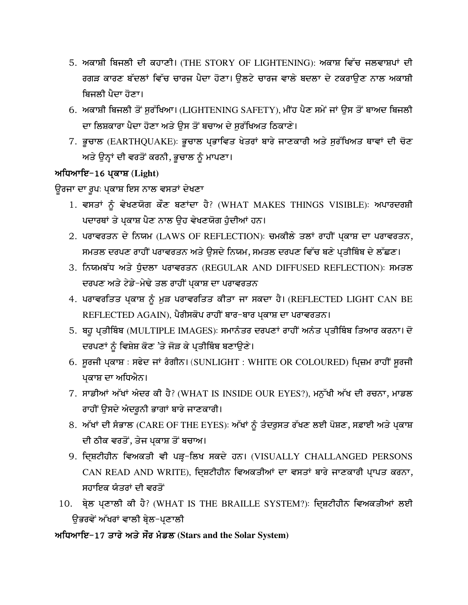- 5. ਅਕਾਸ਼ੀ ਬਿਜਲੀ ਦੀ ਕਹਾਣੀ। (THE STORY OF LIGHTENING): ਅਕਾਸ਼ ਵਿੱਚ ਜਲਵਾਸ਼ਪਾਂ ਦੀ ਰਗੜ ਕਾਰਣ ਬੱਦਲਾਂ ਵਿੱਚ ਚਾਰਜ ਪੈਦਾ ਹੋਣਾ। ਉਲਟੇ ਚਾਰਜ ਵਾਲੇ ਬਦਲਾ ਦੇ ਟਕਰਾਉਣ ਨਾਲ ਅਕਾਸ਼ੀ ਬਿਜਲੀ ਪੈਦਾ ਹੋਣਾ।
- 6. ਅਕਾਸ਼ੀ ਬਿਜਲੀ ਤੋਂ ਸਰੱਖਿਆ। (LIGHTENING SAFETY), ਮੀਂਹ ਪੈਣ ਸਮੇਂ ਜਾਂ ਉਸ ਤੋਂ ਬਾਅਦ ਬਿਜਲੀ ਦਾ ਲਿਸ਼ਕਾਰਾ ਪੈਦਾ ਹੋਣਾ ਅਤੇ ਉਸ ਤੋਂ ਬਚਾਅ ਦੇ ਸੁਰੱਖਿਅਤ ਠਿਕਾਣੇ।
- 7. ਭੁਚਾਲ (EARTHQUAKE): ਭੁਚਾਲ ਪ੍ਰਭਾਵਿਤ ਖੇਤਰਾਂ ਬਾਰੇ ਜਾਣਕਾਰੀ ਅਤੇ ਸੁਰੱਖਿਅਤ ਥਾਵਾਂ ਦੀ ਚੋਣ ਅਤੇ ਉਨ੍ਹਾਂ ਦੀ ਵਰਤੋਂ ਕਰਨੀ, ਭੁਚਾਲ ਨੂੰ ਮਾਪਣਾ।

### ਅਧਿਆਇ-16 ਪ੍ਰਕਾਸ਼ (Light)

ਉਰਜਾ ਦਾ ਰੂਪः ਪ੍ਰਕਾਸ਼ ਇਸ ਨਾਲ ਵਸਤਾਂ ਦੇਖਣਾ

- 1. ਵਸਤਾਂ ਨੂੰ ਵੇਖਣਯੋਗ ਕੌਣ ਬਣਾਂਦਾ ਹੈ? (WHAT MAKES THINGS VISIBLE): ਅਪਾਰਦਰਸ਼ੀ ਪਦਾਰਥਾਂ ਤੇ ਪ੍ਰਕਾਸ਼ ਪੈਣ ਨਾਲ ਉਹ ਵੇਖਣਯੋਗ ਹੁੰਦੀਆਂ ਹਨ।
- 2. ਪਰਾਵਰਤਨ ਦੇ ਨਿਯਮ (LAWS OF REFLECTION): ਚਮਕੀਲੇ ਤਲਾਂ ਰਾਹੀਂ ਪ੍ਰਕਾਸ਼ ਦਾ ਪਰਾਵਰਤਨ, ਸਮਤਲ ਦਰਪਣ ਰਾਹੀਂ ਪਰਾਵਰਤਨ ਅਤੇ ਉਸਦੇ ਨਿਯਮ, ਸਮਤਲ ਦਰਪਣ ਵਿੱਚ ਬਣੇ ਪ੍ਰਤੀਬਿੰਬ ਦੇ ਲੱਛਣ।
- 3. ਨਿਯਮਬੱਧ ਅਤੇ ਧੰਦਲਾ ਪਰਾਵਰਤਨ (REGULAR AND DIFFUSED REFLECTION): ਸਮਤਲ ਦਰਪਣ ਅਤੇ ਟੇਡੇ-ਮੇਢੇ ਤਲ ਰਾਹੀਂ ਪਕਾਸ਼ ਦਾ ਪਰਾਵਰਤਨ
- 4. ਪਰਾਵਰਤਿਤ ਪਕਾਸ਼ ਨੂੰ ਮੁੜ ਪਰਾਵਰਤਿਤ ਕੀਤਾ ਜਾ ਸਕਦਾ ਹੈ। (REFLECTED LIGHT CAN BE REFLECTED AGAIN), ਪੈਰੀਸਕੋਪ ਰਾਹੀਂ ਬਾਰ-ਬਾਰ ਪ੍ਰਕਾਸ਼ ਦਾ ਪਰਾਵਰਤਨ।
- 5. ਬਹੁ ਪ੍ਰਤੀਬਿੰਬ (MULTIPLE IMAGES): ਸਮਾਨੰਤਰ ਦਰਪਣਾਂ ਰਾਹੀਂ ਅਨੰਤ ਪ੍ਰਤੀਬਿੰਬ ਤਿਆਰ ਕਰਨਾ। ਦੋ ਦਰਪਣਾਂ ਨੂੰ ਵਿਸ਼ੇਸ਼ ਕੋਣ 'ਤੇ ਜੋੜ ਕੇ ਪ੍ਰਤੀਬਿੰਬ ਬਣਾਉਣੇ।
- 6. ਸੁਰਜੀ ਪ੍ਰਕਾਸ਼ : ਸਫੇਦ ਜਾਂ ਰੰਗੀਨ। (SUNLIGHT : WHITE OR COLOURED) ਪ੍ਰਿਜ਼ਮ ਰਾਹੀਂ ਸੁਰਜੀ ਪਕਾਸ਼ ਦਾ ਅਧਿਐਨ।
- 7. ਸਾਡੀਆਂ ਅੱਖਾਂ ਅੰਦਰ ਕੀ ਹੈ? (WHAT IS INSIDE OUR EYES?), ਮਨੁੱਖੀ ਅੱਖ ਦੀ ਰਚਨਾ, ਮਾਡਲ ਰਾਹੀਂ ਉਸਦੇ ਅੰਦਰੁਨੀ ਭਾਗਾਂ ਬਾਰੇ ਜਾਣਕਾਰੀ।
- 8. ਅੱਖਾਂ ਦੀ ਸੰਭਾਲ (CARE OF THE EYES): ਅੱਖਾਂ ਨੂੰ ਤੰਦਰੁਸਤ ਰੱਖਣ ਲਈ ਪੋਸ਼ਣ, ਸਫ਼ਾਈ ਅਤੇ ਪ੍ਰਕਾਸ਼ ਦੀ ਠੀਕ ਵਰਤੋਂ, ਤੇਜ ਪ੍ਰਕਾਸ਼ ਤੋਂ ਬਚਾਅ।
- 9. ਦ੍ਰਿਸ਼ਟੀਹੀਨ ਵਿਅਕਤੀ ਵੀ ਪੜ੍ਹ-ਲਿਖ ਸਕਦੇ ਹਨ। (VISUALLY CHALLANGED PERSONS CAN READ AND WRITE), ਦ੍ਰਿਸ਼ਟੀਹੀਨ ਵਿਅਕਤੀਆਂ ਦਾ ਵਸਤਾਂ ਬਾਰੇ ਜਾਣਕਾਰੀ ਪ੍ਰਾਪਤ ਕਰਨਾ, ਸਹਾਇਕ ਯੰਤਰਾਂ ਦੀ ਵਰਤੋਂ
- 10. ਬ੍ਰੇਲ ਪ੍ਰਣਾਲੀ ਕੀ ਹੈ? (WHAT IS THE BRAILLE SYSTEM?): ਦ੍ਰਿਸ਼ਟੀਹੀਨ ਵਿਅਕਤੀਆਂ ਲਈ ਉਭਰਵੇਂ ਅੱਖਰਾਂ ਵਾਲੀ ਬੇਲ−ਪਣਾਲੀ

# ਅਧਿਆਇ-17 ਤਾਰੇ ਅਤੇ ਸੌਰ ਮੰਡਲ (Stars and the Solar System)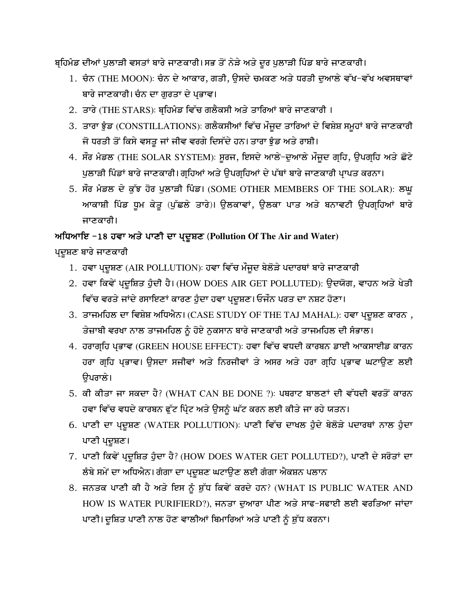ਬਹਿਮੰਡ ਦੀਆਂ ਪੁਲਾੜੀ ਵਸਤਾਂ ਬਾਰੇ ਜਾਣਕਾਰੀ।ਸਭ ਤੋਂ ਨੇੜੇ ਅਤੇ ਦੂਰ ਪੁਲਾੜੀ ਪਿੰਡ ਬਾਰੇ ਜਾਣਕਾਰੀ।

- 1. ਚੰਨ (THE MOON): ਚੰਨ ਦੇ ਆਕਾਰ, ਗਤੀ, ਉਸਦੇ ਚਮਕਣ ਅਤੇ ਧਰਤੀ ਦੁਆਲੇ ਵੱਖ-ਵੱਖ ਅਵਸਥਾਵਾਂ ਬਾਰੇ ਜਾਣਕਾਰੀ। ਚੰਨ ਦਾ ਗਰਤਾ ਦੇ ਪਭਾਵ।
- 2. ਤਾਰੇ (THE STARS): ਬ੍ਰਹਿਮੰਡ ਵਿੱਚ ਗਲੈਕਸੀ ਅਤੇ ਤਾਰਿਆਂ ਬਾਰੇ ਜਾਣਕਾਰੀ ।
- 3. ਤਾਰਾ ਝੂੰਡ (CONSTILLATIONS): ਗਲੈਕਸੀਆਂ ਵਿੱਚ ਮੌਜੂਦ ਤਾਰਿਆਂ ਦੇ ਵਿਸ਼ੇਸ਼ ਸਮੂਹਾਂ ਬਾਰੇ ਜਾਣਕਾਰੀ ਜੋ ਧਰਤੀ ਤੋਂ ਕਿਸੇ ਵਸਤੂ ਜਾਂ ਜੀਵ ਵਰਗੇ ਦਿਸੱਦੇ ਹਨ। ਤਾਰਾ ਝੁੰਡ ਅਤੇ ਰਾਸ਼ੀ।
- 4. ਸੌਰ ਮੰਡਲ (THE SOLAR SYSTEM): ਸੁਰਜ, ਇਸਦੇ ਆਲੇ-ਦੁਆਲੇ ਮੌਜੂਦ ਗ੍ਰਹਿ, ਉਪਗ੍ਰਹਿ ਅਤੇ ਛੋਟੇ ਪੁਲਾੜੀ ਪਿੰਡਾਂ ਬਾਰੇ ਜਾਣਕਾਰੀ। ਗਹਿਆਂ ਅਤੇ ਉਪਗਹਿਆਂ ਦੇ ਪੱਥਾਂ ਬਾਰੇ ਜਾਣਕਾਰੀ ਪਾਪਤ ਕਰਨਾ।
- 5. ਸੌਰ ਮੰਡਲ ਦੇ ਕੁੱਝ ਹੋਰ ਪੁਲਾੜੀ ਪਿੰਡ। (SOME OTHER MEMBERS OF THE SOLAR): ਲਘੁ ਆਕਾਸ਼ੀ ਪਿੰਡ ਧੂਮ ਕੇਤੂ (ਪੁੱਛਲੇ ਤਾਰੇ)। ਉਲਕਾਵਾਂ, ਉਲਕਾ ਪਾਤ ਅਤੇ ਬਨਾਵਟੀ ਉਪਗ੍ਰਹਿਆਂ ਬਾਰੇ ਜਾਣਕਾਰੀ।

# ਅਧਿਆਇ −18 ਹਵਾ ਅਤੇ ਪਾਣੀ ਦਾ ਪ੍ਰਦੂਸ਼ਣ (Pollution Of The Air and Water)

ਪ੍ਰਦੂਸ਼ਣ ਬਾਰੇ ਜਾਣਕਾਰੀ

- 1. ਹਵਾ ਪ੍ਰਦੂਸ਼ਣ (AIR POLLUTION): ਹਵਾ ਵਿੱਚ ਮੌਜੂਦ ਬੇਲੋੜੇ ਪਦਾਰਥਾਂ ਬਾਰੇ ਜਾਣਕਾਰੀ
- 2. ਹਵਾ ਕਿਵੇਂ ਪ੍ਰਦੂਸ਼ਿਤ ਹੁੰਦੀ ਹੈ। (HOW DOES AIR GET POLLUTED): ਉਦਯੋਗ, ਵਾਹਨ ਅਤੇ ਖੇਤੀ ਵਿੱਚ ਵਰਤੇ ਜਾਂਦੇ ਰਸਾਇਣਾਂ ਕਾਰਣ ਹੁੰਦਾ ਹਵਾ ਪਦੂਸ਼ਣ। ਓਜੌਨ ਪਰਤ ਦਾ ਨਸ਼ਟ ਹੋਣਾ।
- 3. ਤਾਜਮਹਿਲ ਦਾ ਵਿਸ਼ੇਸ਼ ਅਧਿਐਨ। (CASE STUDY OF THE TAJ MAHAL): ਹਵਾ ਪ੍ਰਦੂਸ਼ਣ ਕਾਰਨ, ਤੇਜ਼ਾਬੀ ਵਰਖਾ ਨਾਲ ਤਾਜਮਹਿਲ ਨੂੰ ਹੋਏ ਨੁਕਸਾਨ ਬਾਰੇ ਜਾਣਕਾਰੀ ਅਤੇ ਤਾਜਮਹਿਲ ਦੀ ਸੰਭਾਲ।
- 4. ਹਰਾਗਹਿ ਪਭਾਵ (GREEN HOUSE EFFECT): ਹਵਾ ਵਿੱਚ ਵਧਦੀ ਕਾਰਬਨ ਡਾਈ ਆਕਸਾਈਡ ਕਾਰਨ ਹਰਾ ਗਹਿ ਪਭਾਵ। ਉਸਦਾ ਸਜੀਵਾਂ ਅਤੇ ਨਿਰਜੀਵਾਂ ਤੇ ਅਸਰ ਅਤੇ ਹਰਾ ਗਹਿ ਪਭਾਵ ਘਟਾਉਣ ਲਈ ੳਪਰਾਲੇ।
- 5. ਕੀ ਕੀਤਾ ਜਾ ਸਕਦਾ ਹੈ? (WHAT CAN BE DONE ?): ਪਥਰਾਟ ਬਾਲਣਾਂ ਦੀ ਵੱਧਦੀ ਵਰਤੋਂ ਕਾਰਨ ਹਵਾ ਵਿੱਚ ਵਧਦੇ ਕਾਰਬਨ ਫੁੱਟ ਪ੍ਰਿੰਟ ਅਤੇ ਉਸਨੂੰ ਘੱਟ ਕਰਨ ਲਈ ਕੀਤੇ ਜਾ ਰਹੇ ਯਤਨ।
- 6. ਪਾਣੀ ਦਾ ਪ੍ਰਦੂਸ਼ਣ (WATER POLLUTION): ਪਾਣੀ ਵਿੱਚ ਦਾਖਲ ਹੁੰਦੇ ਬੇਲੋੜੇ ਪਦਾਰਥਾਂ ਨਾਲ ਹੁੰਦਾ ਪਾਣੀ ਪ੍ਰਦੂਸ਼ਣ।
- 7. ਪਾਣੀ ਕਿਵੇਂ ਪ੍ਰਦੂਸ਼ਿਤ ਹੁੰਦਾ ਹੈ? (HOW DOES WATER GET POLLUTED?), ਪਾਣੀ ਦੇ ਸਰੋਤਾਂ ਦਾ ਲੰਬੇ ਸਮੇਂ ਦਾ ਅਧਿਐਨ। ਗੰਗਾ ਦਾ ਪ੍ਰਦੂਸ਼ਣ ਘਟਾਉਣ ਲਈ ਗੰਗਾ ਐਕਸ਼ਨ ਪਲਾਨ
- 8. ਜਨਤਕ ਪਾਣੀ ਕੀ ਹੈ ਅਤੇ ਇਸ ਨੂੰ ਸ਼ੁੱਧ ਕਿਵੇਂ ਕਰਦੇ ਹਨ? (WHAT IS PUBLIC WATER AND HOW IS WATER PURIFIERD?), ਜਨਤਾ ਦੁਆਰਾ ਪੀਣ ਅਤੇ ਸਾਫ-ਸਫਾਈ ਲਈ ਵਰਤਿਆ ਜਾਂਦਾ ਪਾਣੀ। ਦੁਸ਼ਿਤ ਪਾਣੀ ਨਾਲ ਹੋਣ ਵਾਲੀਆਂ ਬਿਮਾਰਿਆਂ ਅਤੇ ਪਾਣੀ ਨੂੰ ਸ਼ੁੱਧ ਕਰਨਾ।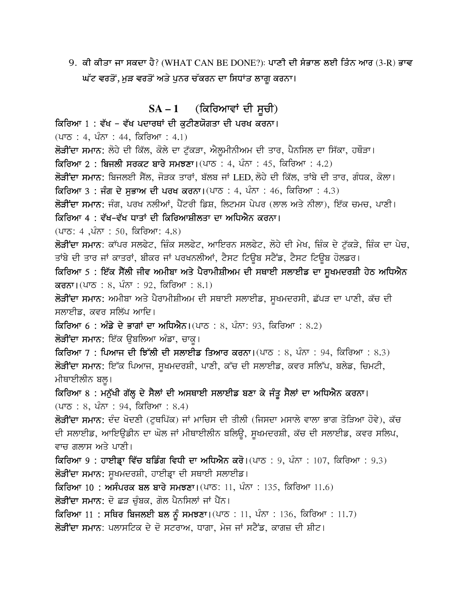9. ਕੀ ਕੀਤਾ ਜਾ ਸਕਦਾ ਹੈ? (WHAT CAN BE DONE?): ਪਾਣੀ ਦੀ ਸੰਭਾਲ ਲਈ ਤਿੰਨ ਆਰ (3-R) ਭਾਵ ਘੱਟ ਵਰਤੋਂ, ਮੁੜ ਵਰਤੋਂ ਅਤੇ ਪੁਨਰ ਚੱਕਰਨ ਦਾ ਸਿਧਾਂਤ ਲਾਗੁ ਕਰਨਾ।

# $SA - 1$  (ਕਿਰਿਆਵਾਂ ਦੀ ਸੂਚੀ)

### ਕਿਰਿਆ 1 : ਵੱਖ - ਵੱਖ ਪਦਾਰਥਾਂ ਦੀ ਕਟੀਣਯੋਗਤਾ ਦੀ ਪਰਖ ਕਰਨਾ।

 $(475 : 4, 475 : 44, 625)$  (4.1)

ਲੋੜੀਂਦਾ ਸਮਾਨ: ਲੋਹੇ ਦੀ ਕਿੱਲ, ਕੋਲੇ ਦਾ ਟੁੱਕੜਾ, ਐਲੂਮੀਨੀਅਮ ਦੀ ਤਾਰ, ਪੈਨਸਿਲ ਦਾ ਸਿੱਕਾ, ਹਥੌੜਾ।

ਕਿਰਿਆ 2: ਬਿਜਲੀ ਸਰਕਟ ਬਾਰੇ ਸਮਝਣਾ। (ਪਾਠ: 4, ਪੰਨਾ: 45, ਕਿਰਿਆ: 4.2)

**ਲੋੜੀਂਦਾ ਸਮਾਨ:** ਬਿਜਲਈ ਸੈਂਲ, ਜੋੜਕ ਤਾਰਾਂ, ਬੱਲਬ ਜਾਂ LED, ਲੋਹੇ ਦੀ ਕਿੱਲ, ਤਾਂਬੇ ਦੀ ਤਾਰ, ਗੰਧਕ, ਕੋਲਾ।

ਕਿਰਿਆ 3 : ਜੰਗ ਦੇ ਸਭਾਅ ਦੀ ਪਰਖ ਕਰਨਾ। (ਪਾਠ : 4, ਪੰਨਾ : 46, ਕਿਰਿਆ : 4.3)

ਲੋੜੀਂਦਾ ਸਮਾਨ: ਜੰਗ, ਪਰਖ ਨਲੀਆਂ, ਪੈਂਟਰੀ ਡਿਸ਼, ਲਿਟਮਸ ਪੇਪਰ (ਲਾਲ ਅਤੇ ਨੀਲਾ), ਇੱਕ ਚਮਚ, ਪਾਣੀ।

ਕਿਰਿਆ 4 : ਵੱਖ–ਵੱਖ ਧਾਤਾਂ ਦੀ ਕਿਰਿਆਸ਼ੀਲਤਾ ਦਾ ਅਧਿਐਨ ਕਰਨਾ।

 $(475: 4, \hat{4} \cdot \hat{50}, \hat{6} \cdot \hat{6} \cdot \hat{7}$  (4.8)

**ਲੋੜੀਂਦਾ ਸਮਾਨ**: ਕਾੱਪਰ ਸਲਫੇਟ, ਜ਼ਿੰਕ ਸਲਫੇਟ, ਆਇਰਨ ਸਲਫੇਟ, ਲੋਹੇ ਦੀ ਮੇਖ, ਜ਼ਿੰਕ ਦੇ ਟੁੱਕੜੇ, ਜ਼ਿੰਕ ਦਾ ਪੇਚ, ਤਾਂਬੇ ਦੀ ਤਾਰ ਜਾਂ ਕਾਤਰਾਂ, ਬੀਕਰ ਜਾਂ ਪਰਖਨਲੀਆਂ, ਟੈਸਟ ਟਿਊਬ ਸਟੈਂਡ, ਟੈਸਟ ਟਿਊਬ ਹੋਲਡਰ।

ਕਿਰਿਆ 5 : ਇੱਕ ਸੈੱਲੀ ਜੀਵ ਅਮੀਬਾ ਅਤੇ ਪੈਰਾਮੀਸ਼ੀਅਮ ਦੀ ਸਥਾਈ ਸਲਾਈਡ ਦਾ ਸੁਖਮਦਰਸ਼ੀ ਹੇਠ ਅਧਿਐਨ ਕਰਨਾ।(ਪਾਠ : 8, ਪੰਨਾ : 92, ਕਿਰਿਆ : 8.1)

ਲੋੜੀਂਦਾ ਸਮਾਨ: ਅਮੀਬਾ ਅਤੇ ਪੈਰਾਮੀਸ਼ੀਅਮ ਦੀ ਸਥਾਈ ਸਲਾਈਡ, ਸੁਖਮਦਰਸੀ, ਛੱਪੜ ਦਾ ਪਾਣੀ, ਕੱਚ ਦੀ ਸਲਾਈਡ, ਕਵਰ ਸਲਿੱਪ ਆਦਿ।

ਕਿਰਿਆ 6: ਅੰਡੇ ਦੇ ਭਾਗਾਂ ਦਾ ਅਧਿਐਨ। (ਪਾਠ: 8, ਪੰਨਾ: 93, ਕਿਰਿਆ: 8.2)

ਲੋੜੀਂਦਾ ਸਮਾਨ: ਇੱਕ ਉਬਲਿਆ ਅੰਡਾ, ਚਾਕ।

ਕਿਰਿਆ 7 : ਪਿਆਜ ਦੀ ਝਿੱਲੀ ਦੀ ਸਲਾਈਡ ਤਿਆਰ ਕਰਨਾ। (ਪਾਠ : 8, ਪੰਨਾ : 94, ਕਿਰਿਆ : 8.3) ਲੋੜੀਂਦਾ ਸਮਾਨ: ਇੱਕ ਪਿਆਜ, ਸੁਖਮਦਰਸ਼ੀ, ਪਾਣੀ, ਕੱਚ ਦੀ ਸਲਾਈਡ, ਕਵਰ ਸਲਿੱਪ, ਬਲੇਡ, ਚਿਮਟੀ, ਮੀਥਾਈਲੀਨ ਬਲ।

ਕਿਰਿਆ 8 : ਮਨੁੱਖੀ ਗੱਲ੍ਹ ਦੇ ਸੈਲਾਂ ਦੀ ਅਸਥਾਈ ਸਲਾਈਡ ਬਣਾ ਕੇ ਜੰਤੂ ਸੈਲਾਂ ਦਾ ਅਧਿਐਨ ਕਰਨਾ।  $(475 : 8, 477 : 94, 625)$  (476 : 8.4)

ਲੋੜੀਂਦਾ ਸਮਾਨ: ਦੌਦ ਖੋਦਣੀ (ਟਥਪਿੱਕ) ਜਾਂ ਮਾਚਿਸ ਦੀ ਤੀਲੀ (ਜਿਸਦਾ ਮਸਾਲੇ ਵਾਲਾ ਭਾਗ ਤੋੜਿਆ ਹੋਵੇ), ਕੱਚ ਦੀ ਸਲਾਈਡ, ਆਇਊਡੀਨ ਦਾ ਘੋਲ ਜਾਂ ਮੀਥਾਈਲੀਨ ਬਲਿਊ, ਸੁਖਮਦਰਸ਼ੀ, ਕੱਚ ਦੀ ਸਲਾਈਡ, ਕਵਰ ਸਲਿਪ, ਵਾਚ ਗਲਾਸ ਅਤੇ ਪਾਣੀ।

ਕਿਰਿਆ 9: ਹਾਈਡ੍ਰਾ ਵਿੱਚ ਬਡਿੰਗ ਵਿਧੀ ਦਾ ਅਧਿਐਨ ਕਰੋ। (ਪਾਠ: 9, ਪੰਨਾ: 107, ਕਿਰਿਆ: 9.3) ਲੋੜੀਂਦਾ ਸਮਾਨ: ਸੁਖਮਦਰਸ਼ੀ, ਹਾਈਡਾ ਦੀ ਸਥਾਈ ਸਲਾਈਡ।

ਕਿਰਿਆ 10: ਅਸੰਪਰਕ ਬਲ ਬਾਰੇ ਸਮਝਣਾ। (ਪਾਠ: 11, ਪੰਨਾ: 135, ਕਿਰਿਆ 11.6)

**ਲੋੜੀਂਦਾ ਸਮਾਨ:** ਦੋ ਛੜ ਚੁੰਬਕ, ਗੋਲ ਪੈਨਸਿਲਾਂ ਜਾਂ ਪੈਂਨ।

ਕਿਰਿਆ 11: ਸਥਿਰ ਬਿਜਲਈ ਬਲ ਨੂੰ ਸਮਝਣਾ। (ਪਾਠ: 11, ਪੰਨਾ: 136, ਕਿਰਿਆ: 11.7)

ਲੋੜੀਂਦਾ ਸਮਾਨ: ਪਲਾਸਟਿਕ ਦੇ ਦੋ ਸਟਰਾਅ, ਧਾਗਾ, ਮੇਜ ਜਾਂ ਸਟੈਂਡ, ਕਾਗਜ਼ ਦੀ ਸ਼ੀਟ।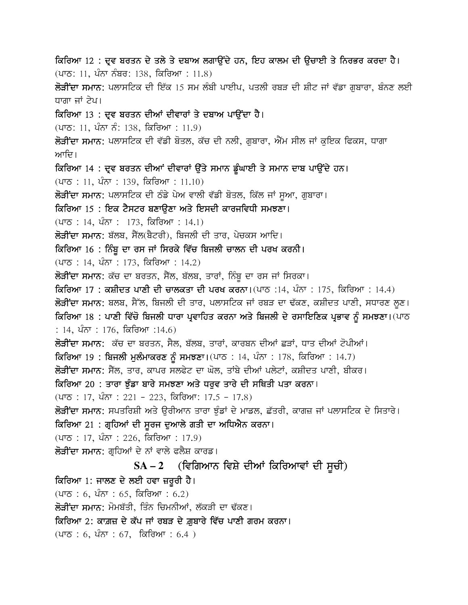ਕਿਰਿਆ 12 : ਦ੍ਰਵ ਬਰਤਨ ਦੇ ਤਲੇ ਤੇ ਦਬਾਅ ਲਗਾਉਂਦੇ ਹਨ, ਇਹ ਕਾਲਮ ਦੀ ਉਚਾਈ ਤੇ ਨਿਰਭਰ ਕਰਦਾ ਹੈ।  $(475: 11, 467 67)$ ਬਰ: 138, ਕਿਰਿਆ : 11.8) ਲੋੜੀਂਦਾ ਸਮਾਨ: ਪਲਾਸਟਿਕ ਦੀ ਇੱਕ 15 ਸਮ ਲੰਬੀ ਪਾਈਪ, ਪਤਲੀ ਰਬੜ ਦੀ ਸ਼ੀਟ ਜਾਂ ਵੱਡਾ ਗਬਾਰਾ, ਬੰਨਣ ਲਈ ਧਾਗਾ ਜਾਂ ਟੇਪ। ਕਿਰਿਆ 13 : ਦ੍ਰਵ ਬਰਤਨ ਦੀਆਂ ਦੀਵਾਰਾਂ ਤੇ ਦਬਾਅ ਪਾਉਂਦਾ ਹੈ। (ਪਾਠ: 11, ਪੰਨਾ ਨੰ: 138, ਕਿਰਿਆ : 11.9) ਲੋੜੀਂਦਾ ਸਮਾਨ: ਪਲਾਸਟਿਕ ਦੀ ਵੱਡੀ ਬੋਤਲ, ਕੱਚ ਦੀ ਨਲੀ, ਗਬਾਰਾ, ਐੱਮ ਸੀਲ ਜਾਂ ਕਇਕ ਫਿਕਸ, ਧਾਗਾ ਆਦਿ। ਕਿਰਿਆ 14 : ਦ੍ਰਵ ਬਰਤਨ ਦੀਆਂ ਦੀਵਾਰਾਂ ਉੱਤੇ ਸਮਾਨ ਡੂੰਘਾਈ ਤੇ ਸਮਾਨ ਦਾਬ ਪਾਉਂਦੇ ਹਨ। <u>(ਪਾਠ : 11, ਪੰਨਾ : 139, ਕਿਰਿਆ : 11.10)</u> ਲੋੜੀਂਦਾ ਸਮਾਨ: ਪਲਾਸਟਿਕ ਦੀ ਠੰਡੇ ਪੇਅ ਵਾਲੀ ਵੱਡੀ ਬੋਤਲ, ਕਿੱਲ ਜਾਂ ਸੁਆ, ਗੁਬਾਰਾ। ਕਿਰਿਆ 15 : ਇਕ ਟੈਸਟਰ ਬਣਾਉਣਾ ਅਤੇ ਇਸਦੀ ਕਾਰਜਵਿਧੀ ਸਮਝਣਾ। <u>(ਪਾਠ : 14, ਪੰਨਾ : 173, ਕਿਰਿਆ : 14.1)</u> ਲੋੜੀਂਦਾ ਸਮਾਨ: ਬੱਲਬ, ਸੈਂਲ(ਬੈਟਰੀ), ਬਿਜਲੀ ਦੀ ਤਾਰ, ਪੇਚਕਸ ਆਦਿ। ਕਿਰਿਆ 16 : ਨਿੰਬੂ ਦਾ ਰਸ ਜਾਂ ਸਿਰਕੇ ਵਿੱਚ ਬਿਜਲੀ ਚਾਲਨ ਦੀ ਪਰਖ ਕਰਨੀ।  $($ ਪਾਠ : 14, ਪੰਨਾ : 173, ਕਿਰਿਆ : 14.2) ਲੋੜੀਂਦਾ ਸਮਾਨ: ਕੱਚ ਦਾ ਬਰਤਨ, ਸੈੱਲ, ਬੱਲਬ, ਤਾਰਾਂ, ਨਿੰਬੂ ਦਾ ਰਸ ਜਾਂ ਸਿਰਕਾ। ਕਿਰਿਆ 17 : ਕਸ਼ੀਦਤ ਪਾਣੀ ਦੀ ਚਾਲਕਤਾ ਦੀ ਪਰਖ ਕਰਨਾ।(ਪਾਠ :14, ਪੰਨਾ : 175, ਕਿਰਿਆ : 14.4) ਲੋੜੀਂਦਾ ਸਮਾਨ: ਬਲਬ, ਸੈੱਲ, ਬਿਜਲੀ ਦੀ ਤਾਰ, ਪਲਾਸਟਿਕ ਜਾਂ ਰਬੜ ਦਾ ਢੱਕਣ, ਕਸ਼ੀਦਤ ਪਾਣੀ, ਸਧਾਰਣ ਲੁਣ। ਕਿਰਿਆ 18 : ਪਾਣੀ ਵਿੱਚੋ ਬਿਜਲੀ ਧਾਰਾ ਪ੍ਰਵਾਹਿਤ ਕਰਨਾ ਅਤੇ ਬਿਜਲੀ ਦੇ ਰਸਾਇਣਿਕ ਪ੍ਰਭਾਵ ਨੂੰ ਸਮਝਣਾ। (ਪਾਠ : 14, ਪੰਨਾ : 176, ਕਿਰਿਆ :14.6) ਲੋੜੀਂਦਾ ਸਮਾਨ: ਕੱਚ ਦਾ ਬਰਤਨ, ਸੈਲ, ਬੱਲਬ, ਤਾਰਾਂ, ਕਾਰਬਨ ਦੀਆਂ ਛੜਾਂ, ਧਾਤ ਦੀਆਂ ਟੋਪੀਆਂ। ਕਿਰਿਆ 19 : ਬਿਜਲੀ ਮੁਲੰਮਾਕਰਣ ਨੂੰ ਸਮਝਣਾ। (ਪਾਠ : 14, ਪੰਨਾ : 178, ਕਿਰਿਆ : 14.7) ਲੋੜੀਂਦਾ ਸਮਾਨ: ਸੈਂਲ, ਤਾਰ, ਕਾਪਰ ਸਲਫੇਟ ਦਾ ਘੋਲ, ਤਾਂਬੇ ਦੀਆਂ ਪਲੇਟਾਂ, ਕਸ਼ੀਦਤ ਪਾਣੀ, ਬੀਕਰ। ਕਿਰਿਆ 20 : ਤਾਰਾ ਝੰਡਾ ਬਾਰੇ ਸਮਝਣਾ ਅਤੇ ਧਰਵ ਤਾਰੇ ਦੀ ਸਥਿਤੀ ਪਤਾ ਕਰਨਾ। <u>(ਪਾਠ: 17, ਪੰਨਾ: 221 - 223, ਕਿਰਿਆ: 17.5 - 17.8)</u> ਲੋੜੀਂਦਾ ਸਮਾਨ: ਸਪਤਰਿਸ਼ੀ ਅਤੇ ਉਰੀਆਨ ਤਾਰਾ ਝੁੰਡਾਂ ਦੇ ਮਾਡਲ, ਛੱਤਰੀ, ਕਾਗਜ਼ ਜਾਂ ਪਲਾਸਟਿਕ ਦੇ ਸਿਤਾਰੇ। ਕਿਰਿਆ 21 : ਗੁਹਿਆਂ ਦੀ ਸੂਰਜ ਦੁਆਲੇ ਗਤੀ ਦਾ ਅਧਿਐਨ ਕਰਨਾ। (ਪਾਠ : 17, ਪੰਨਾ : 226, ਕਿਰਿਆ : 17.9) ਲੋੜੀਂਦਾ ਸਮਾਨ: ਗੁਹਿਆਂ ਦੇ ਨਾਂ ਵਾਲੇ ਫਲੈਸ਼ ਕਾਰਡ।  $SA - 2$  (ਵਿਗਿਆਨ ਵਿਸ਼ੇ ਦੀਆਂ ਕਿਰਿਆਵਾਂ ਦੀ ਸੂਚੀ) ਕਿਰਿਆ 1: ਜਾਲਣ ਦੇ ਲਈ ਹਵਾ ਜ਼ਰੂਰੀ ਹੈ। <u>(ਪਾਠ : 6, ਪੰਨਾ : 65, ਕਿਰਿਆ : 6.2)</u> ਲੋੜੀਂਦਾ ਸਮਾਨ: ਮੋਮਬੱਤੀ, ਤਿੰਨ ਚਿਮਨੀਆਂ, ਲੱਕੜੀ ਦਾ ਢੱਕਣ। ਕਿਰਿਆ 2: ਕਾਗ਼ਜ਼ ਦੇ ਕੱਪ ਜਾਂ ਰਬੜ ਦੇ ਗ਼ਬਾਰੇ ਵਿੱਚ ਪਾਣੀ ਗਰਮ ਕਰਨਾ। <u>(ਪਾਠ : 6, ਪੰਨਾ : 67, ਕਿਰਿਆ : 6.4 )</u>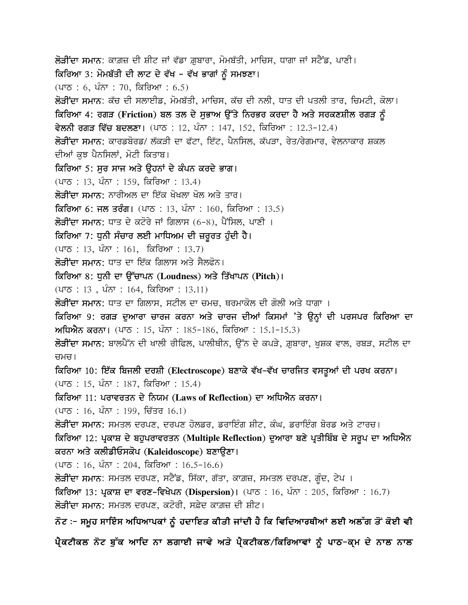**ਲੋੜੀਂਦਾ ਸਮਾਨ**: ਕਾਗ਼ਜ਼ ਦੀ ਸ਼ੀਟ ਜਾਂ ਵੱਡਾ ਗ਼ਬਾਰਾ, ਮੋਮਬੱਤੀ, ਮਾਚਿਸ, ਧਾਗਾ ਜਾਂ ਸਟੈਂਡ, ਪਾਣੀ। ਕਿਰਿਆ 3: ਮੋਮਬੱਤੀ ਦੀ ਲਾਟ ਦੇ ਵੱਖ - ਵੱਖ ਭਾਗਾਂ ਨੂੰ ਸਮਝਣਾ। <u>(ਪਾਠ : 6, ਪੰਨਾ : 70, ਕਿਰਿਆ : 6.5)</u> ਲੋੜੀਂਦਾ ਸਮਾਨ: ਕੱਚ ਦੀ ਸਲਾਈਡ, ਮੋਮਬੱਤੀ, ਮਾਚਿਸ, ਕੱਚ ਦੀ ਨਲੀ, ਧਾਤ ਦੀ ਪਤਲੀ ਤਾਰ, ਚਿਮਟੀ, ਕੋਲਾ। <u>ਕਿਰਿਆ 4: ਰਗੜ (Friction) ਬਲ ਤਲ ਦੇ ਸਭਾਅ ਉੱਤੇ ਨਿਰਭਰ ਕਰਦਾ ਹੈ ਅਤੇ ਸਰਕਣਸ਼ੀਲ ਰਗੜ ਨੂੰ </u> ਵੇਲਨੀ ਰਗੜ ਵਿੱਚ ਬਦਲਣਾ। (ਪਾਠ : 12, ਪੰਨਾ : 147, 152, ਕਿਰਿਆ : 12.3-12.4) ਲੋੜੀਂਦਾ ਸਮਾਨ: ਕਾਰਡਬੋਰਡ/ ਲੱਕੜੀ ਦਾ ਫੱਟਾ, ਇੱਟ, ਪੈਨਸਿਲ, ਕੱਪੜਾ, ਰੇਤ/ਰੇਗਮਾਰ, ਵੇਲਨਾਕਾਰ ਸ਼ਕਲ ਦੀਆਂ ਕਝ ਪੈਨਸਿਲਾਂ, ਮੋਟੀ ਕਿਤਾਬ। ਕਿਰਿਆ 5: ਸਰ ਸਾਜ ਅਤੇ ੳਹਨਾਂ ਦੇ ਕੰਪਨ ਕਰਦੇ ਭਾਗ। (ਪਾਠ : 13, ਪੰਨਾ : 159, ਕਿਰਿਆ : 13.4) <mark>ਲੋਤੀਂਦਾ ਸਮਾਨ:</mark> ਨਾਰੀਅਲ ਦਾ ਇੱਕ ਖੋਖਲਾ ਖੋਲ ਅਤੇ ਤਾਰ। ਕਿਰਿਆ 6: ਜਲ ਤਰੰਗ। (ਪਾਠ : 13, ਪੰਨਾ : 160, ਕਿਰਿਆ : 13.5) **ਲੋੜੀਂਦਾ ਸਮਾਨ:** ਧਾਤ ਦੇ ਕਟੋਰੇ ਜਾਂ ਗਿਲਾਸ (6-8), ਪੈਂਸਿਲ, ਪਾਣੀ । ਕਿਰਿਆ 7: ਧਨੀ ਸੰਚਾਰ ਲਈ ਮਾਧਿਅਮ ਦੀ ਜ਼ਰਰਤ ਹੰਦੀ ਹੈ।  $(475 : 13, 467 : 161, 666)$  is 13.7) ਲੋਤੀਂਦਾ ਸਮਾਨ: ਧਾਤ ਦਾ ਇੱਕ ਗਿਲਾਸ ਅਤੇ ਸੈਲਫੋਨ। ਕਿਰਿਆ 8: ਧੁਨੀ ਦਾ ਉੱਚਾਪਨ (Loudness) ਅਤੇ ਤਿੱਖਾਪਨ (Pitch)।  $(475 : 13, 467 : 164, 666$ ਆ : 13.11) ਲੋੜੀਂਦਾ ਸਮਾਨ: ਧਾਤ ਦਾ ਗਿਲਾਸ, ਸਟੀਲ ਦਾ ਚਮਚ, ਥਰਮਾਕੋਲ ਦੀ ਗੋਲੀ ਅਤੇ ਧਾਗਾ । ਕਿਰਿਆ 9: ਰਗੜ ਦੁਆਰਾ ਚਾਰਜ ਕਰਨਾ ਅਤੇ ਚਾਰਜ ਦੀਆਂ ਕਿਸਮਾਂ 'ਤੇ ਉਨ੍ਹਾਂ ਦੀ ਪਰਸਪਰ ਕਿਰਿਆ ਦਾ **ਅਧਿਐਨ ਕਰਨਾ।** (ਪਾਠ : 15, ਪੰਨਾ : 185–186, ਕਿਰਿਆ : 15.1–15.3) ਲੋੜੀਂਦਾ ਸਮਾਨ: ਬਾਲਪੈੱਨ ਦੀ ਖਾਲੀ ਰੀਫਿਲ, ਪਾਲੀਥੀਨ, ਉੱਨ ਦੇ ਕਪੜੇ, ਗ਼ਬਾਰਾ, ਖਸ਼ਕ ਵਾਲ, ਰਬੜ, ਸਟੀਲ ਦਾ ਚਮਚ। ਕਿਰਿਆ 10: ਇੱਕ ਬਿਜਲੀ ਦਰਸ਼ੀ (Electroscope) ਬਣਾਕੇ ਵੱਖ-ਵੱਖ ਚਾਰਜਿਤ ਵਸਤੂਆਂ ਦੀ ਪਰਖ ਕਰਨਾ। <u>(ਪਾਠ : 15, ਪੰਨਾ : 187, ਕਿਰਿਆ : 15.4)</u> ਕਿਰਿਆ 11: ਪਰਾਵਰਤਨ ਦੇ ਨਿਯਮ (Laws of Reflection) ਦਾ ਅਧਿਐਨ ਕਰਨਾ।  $($ ਪਾਠ : 16, ਪੰਨਾ : 199, ਚਿੱਤਰ 16.1) ਲੋੜੀਂਦਾ ਸਮਾਨ: ਸਮਤਲ ਦਰਪਣ, ਦਰਪਣ ਹੋਲਡਰ, ਡਰਾਇੰਗ ਸ਼ੀਟ, ਕੰਘ, ਡਰਾਇੰਗ ਬੋਰਡ ਅਤੇ ਟਾਰਚ। ਕਿਰਿਆ 12: ਪ੍ਰਕਾਸ਼ ਦੇ ਬਹੁਪਰਾਵਰਤਨ (Multiple Reflection) ਦੁਆਰਾ ਬਣੇ ਪ੍ਰਤੀਬਿੰਬ ਦੇ ਸਰੂਪ ਦਾ ਅਧਿਐਨ ਕਰਨਾ ਅਤੇ ਕਲੀਡੀਓਸਕੋਪ (Kaleidoscope) ਬਣਾਉਣਾ।  $(475 : 16, 47 + 204, 66)$  (475 : 16.5-16.6) ਲੋੜੀਂਦਾ ਸਮਾਨ: ਸਮਤਲ ਦਰਪਣ, ਸਟੈਂਡ, ਸਿੱਕਾ, ਗੱਤਾ, ਕਾਗ਼ਜ਼, ਸਮਤਲ ਦਰਪਣ, ਗੁੰਦ, ਟੇਪ । **ਕਿਰਿਆ 13: ਪ੍ਰਕਾਸ਼ ਦਾ ਵਰਣ-ਵਿਖੇਪਨ (Dispersion)।** (ਪਾਠ : 16, ਪੰਨਾ : 205, ਕਿਰਿਆ : 16.7) ਲੋੜੀਂਦਾ ਸਮਾਨ: ਸਮਤਲ ਦਰਪਣ, ਕਟੋਰੀ, ਸਫ਼ੇਦ ਕਾਗ਼ਜ਼ ਦੀ ਸ਼ੀਟ। ਨੋਟ :- ਸਮੂਹ ਸਾਇੰਸ ਅਧਿਆਪਕਾਂ ਨੂੰ ਹਦਾਇਤ ਕੀਤੀ ਜਾਂਦੀ ਹੈ ਕਿ ਵਿਦਿਆਰਥੀਆਂ ਲਈ ਅਲੱਗ ਤੋਂ ਕੋਈ ਵੀ ਪੈਕਟੀਕਲ ਨੋਟ ਬੁੱਕ ਆਦਿ ਨਾ ਲਗਾਈ ਜਾਵੇ ਅਤੇ ਪੈਕਟੀਕਲ/ਕਿਰਿਆਵਾਂ ਨੂੰ ਪਾਠ-ਕ੍ਮ ਦੇ ਨਾਲ ਨਾਲ